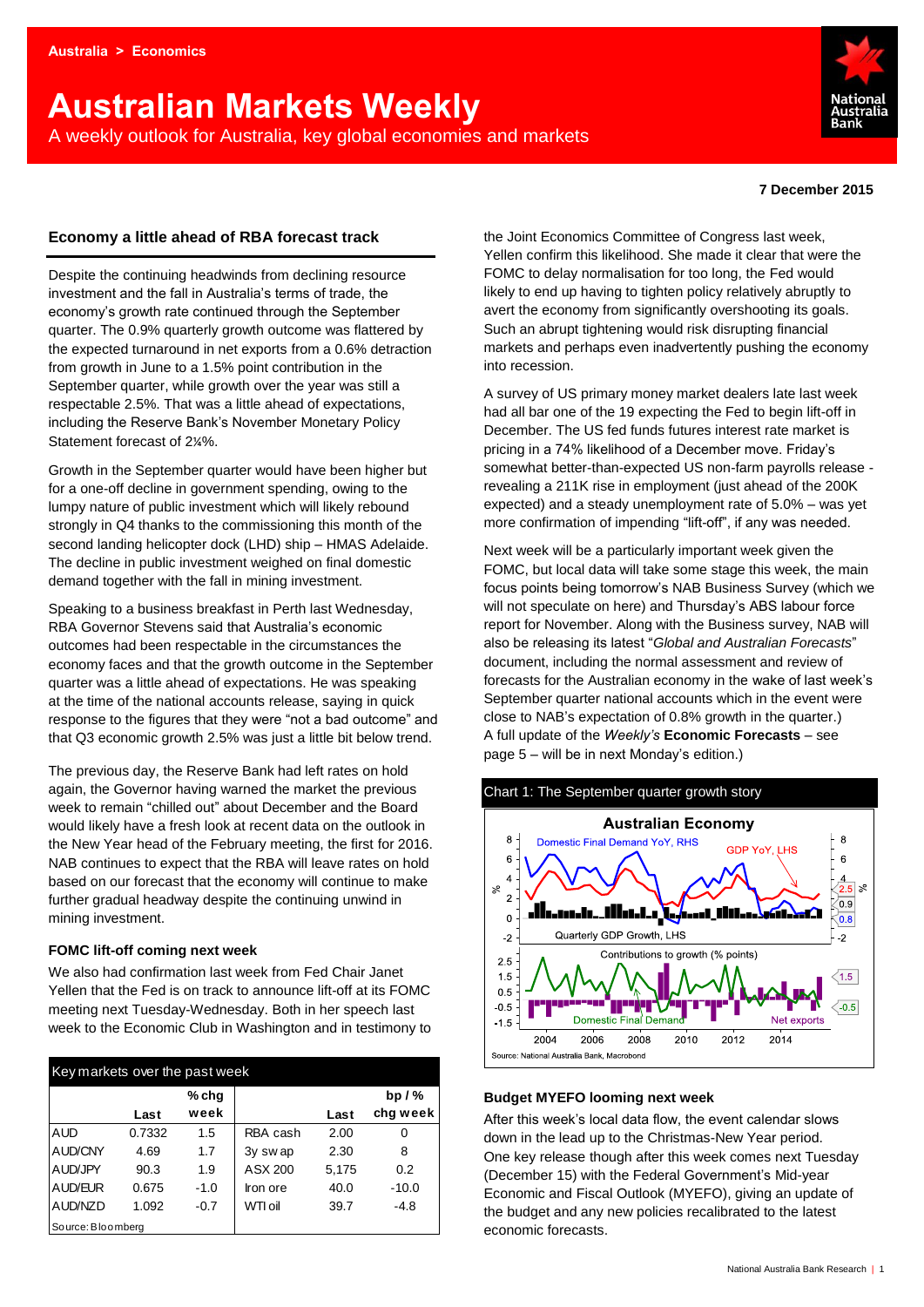# **Australian Markets Weekly**  A weekly outlook for Australia, key global economies and markets



### **7 December 2015**

# **Economy a little ahead of RBA forecast track**

Despite the continuing headwinds from declining resource investment and the fall in Australia's terms of trade, the economy's growth rate continued through the September quarter. The 0.9% quarterly growth outcome was flattered by the expected turnaround in net exports from a 0.6% detraction from growth in June to a 1.5% point contribution in the September quarter, while growth over the year was still a respectable 2.5%. That was a little ahead of expectations, including the Reserve Bank's November Monetary Policy Statement forecast of 2¼%.

Growth in the September quarter would have been higher but for a one-off decline in government spending, owing to the lumpy nature of public investment which will likely rebound strongly in Q4 thanks to the commissioning this month of the second landing helicopter dock (LHD) ship – HMAS Adelaide. The decline in public investment weighed on final domestic demand together with the fall in mining investment.

Speaking to a business breakfast in Perth last Wednesday, RBA Governor Stevens said that Australia's economic outcomes had been respectable in the circumstances the economy faces and that the growth outcome in the September quarter was a little ahead of expectations. He was speaking at the time of the national accounts release, saying in quick response to the figures that they were "not a bad outcome" and that Q3 economic growth 2.5% was just a little bit below trend.

The previous day, the Reserve Bank had left rates on hold again, the Governor having warned the market the previous week to remain "chilled out" about December and the Board would likely have a fresh look at recent data on the outlook in the New Year head of the February meeting, the first for 2016. NAB continues to expect that the RBA will leave rates on hold based on our forecast that the economy will continue to make further gradual headway despite the continuing unwind in mining investment.

# **FOMC lift-off coming next week**

We also had confirmation last week from Fed Chair Janet Yellen that the Fed is on track to announce lift-off at its FOMC meeting next Tuesday-Wednesday. Both in her speech last week to the Economic Club in Washington and in testimony to

| Key markets over the past week |        |        |                     |       |          |  |  |  |  |  |  |
|--------------------------------|--------|--------|---------------------|-------|----------|--|--|--|--|--|--|
|                                |        | % chq  |                     |       | bp $/$ % |  |  |  |  |  |  |
|                                | Last   | week   |                     | Last  | chg week |  |  |  |  |  |  |
| <b>AUD</b>                     | 0.7332 | 1.5    | RBA cash            | 2.00  | 0        |  |  |  |  |  |  |
| AUD/CNY                        | 4.69   | 1.7    | 3y swap             | 2.30  | 8        |  |  |  |  |  |  |
| AUD/JPY                        | 90.3   | 1.9    | ASX 200             | 5,175 | 0.2      |  |  |  |  |  |  |
| AUD/EUR                        | 0.675  | $-1.0$ | Iron ore            | 40.0  | $-10.0$  |  |  |  |  |  |  |
| AUD/NZD                        | 1.092  | $-0.7$ | W <sub>TI oil</sub> | 39.7  | $-4.8$   |  |  |  |  |  |  |
| Source: Bloomberg              |        |        |                     |       |          |  |  |  |  |  |  |

the Joint Economics Committee of Congress last week, Yellen confirm this likelihood. She made it clear that were the FOMC to delay normalisation for too long, the Fed would likely to end up having to tighten policy relatively abruptly to avert the economy from significantly overshooting its goals. Such an abrupt tightening would risk disrupting financial markets and perhaps even inadvertently pushing the economy into recession.

A survey of US primary money market dealers late last week had all bar one of the 19 expecting the Fed to begin lift-off in December. The US fed funds futures interest rate market is pricing in a 74% likelihood of a December move. Friday's somewhat better-than-expected US non-farm payrolls release revealing a 211K rise in employment (just ahead of the 200K expected) and a steady unemployment rate of 5.0% – was yet more confirmation of impending "lift-off", if any was needed.

Next week will be a particularly important week given the FOMC, but local data will take some stage this week, the main focus points being tomorrow's NAB Business Survey (which we will not speculate on here) and Thursday's ABS labour force report for November. Along with the Business survey, NAB will also be releasing its latest "*Global and Australian Forecasts*" document, including the normal assessment and review of forecasts for the Australian economy in the wake of last week's September quarter national accounts which in the event were close to NAB's expectation of 0.8% growth in the quarter.) A full update of the *Weekly's* **[Economic Forecasts](#page-4-0)** – see page 5 – will be in next Monday's edition.)



# **Budget MYEFO looming next week**

After this week's local data flow, the event calendar slows down in the lead up to the Christmas-New Year period. One key release though after this week comes next Tuesday (December 15) with the Federal Government's Mid-year Economic and Fiscal Outlook (MYEFO), giving an update of the budget and any new policies recalibrated to the latest economic forecasts.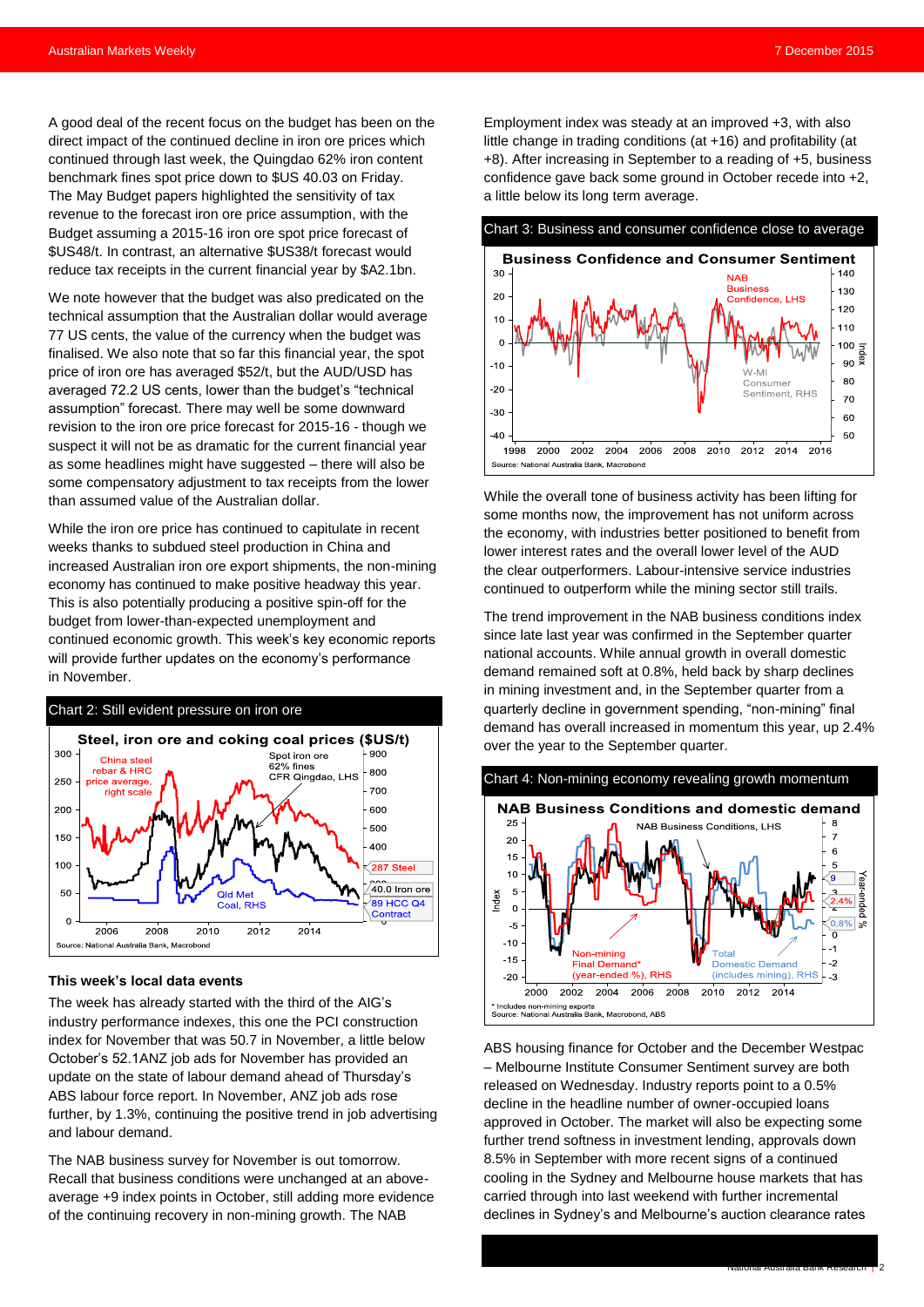A good deal of the recent focus on the budget has been on the direct impact of the continued decline in iron ore prices which continued through last week, the Quingdao 62% iron content benchmark fines spot price down to \$US 40.03 on Friday. The May Budget papers highlighted the sensitivity of tax revenue to the forecast iron ore price assumption, with the Budget assuming a 2015-16 iron ore spot price forecast of \$US48/t. In contrast, an alternative \$US38/t forecast would reduce tax receipts in the current financial year by \$A2.1bn.

We note however that the budget was also predicated on the technical assumption that the Australian dollar would average 77 US cents, the value of the currency when the budget was finalised. We also note that so far this financial year, the spot price of iron ore has averaged \$52/t, but the AUD/USD has averaged 72.2 US cents, lower than the budget's "technical assumption" forecast. There may well be some downward revision to the iron ore price forecast for 2015-16 - though we suspect it will not be as dramatic for the current financial year as some headlines might have suggested – there will also be some compensatory adjustment to tax receipts from the lower than assumed value of the Australian dollar.

While the iron ore price has continued to capitulate in recent weeks thanks to subdued steel production in China and increased Australian iron ore export shipments, the non-mining economy has continued to make positive headway this year. This is also potentially producing a positive spin-off for the budget from lower-than-expected unemployment and continued economic growth. This week's key economic reports will provide further updates on the economy's performance in November.



#### **This week's local data events**

The week has already started with the third of the AIG's industry performance indexes, this one the PCI construction index for November that was 50.7 in November, a little below October's 52.1ANZ job ads for November has provided an update on the state of labour demand ahead of Thursday's ABS labour force report. In November, ANZ job ads rose further, by 1.3%, continuing the positive trend in job advertising and labour demand.

The NAB business survey for November is out tomorrow. Recall that business conditions were unchanged at an aboveaverage +9 index points in October, still adding more evidence of the continuing recovery in non-mining growth. The NAB

Employment index was steady at an improved +3, with also little change in trading conditions (at +16) and profitability (at +8). After increasing in September to a reading of +5, business confidence gave back some ground in October recede into +2, a little below its long term average.

#### Chart 3: Business and consumer confidence close to average



While the overall tone of business activity has been lifting for some months now, the improvement has not uniform across the economy, with industries better positioned to benefit from lower interest rates and the overall lower level of the AUD the clear outperformers. Labour-intensive service industries continued to outperform while the mining sector still trails.

The trend improvement in the NAB business conditions index since late last year was confirmed in the September quarter national accounts. While annual growth in overall domestic demand remained soft at 0.8%, held back by sharp declines in mining investment and, in the September quarter from a quarterly decline in government spending, "non-mining" final demand has overall increased in momentum this year, up 2.4% over the year to the September quarter.



ABS housing finance for October and the December Westpac – Melbourne Institute Consumer Sentiment survey are both released on Wednesday. Industry reports point to a 0.5% decline in the headline number of owner-occupied loans approved in October. The market will also be expecting some further trend softness in investment lending, approvals down 8.5% in September with more recent signs of a continued cooling in the Sydney and Melbourne house markets that has carried through into last weekend with further incremental declines in Sydney's and Melbourne's auction clearance rates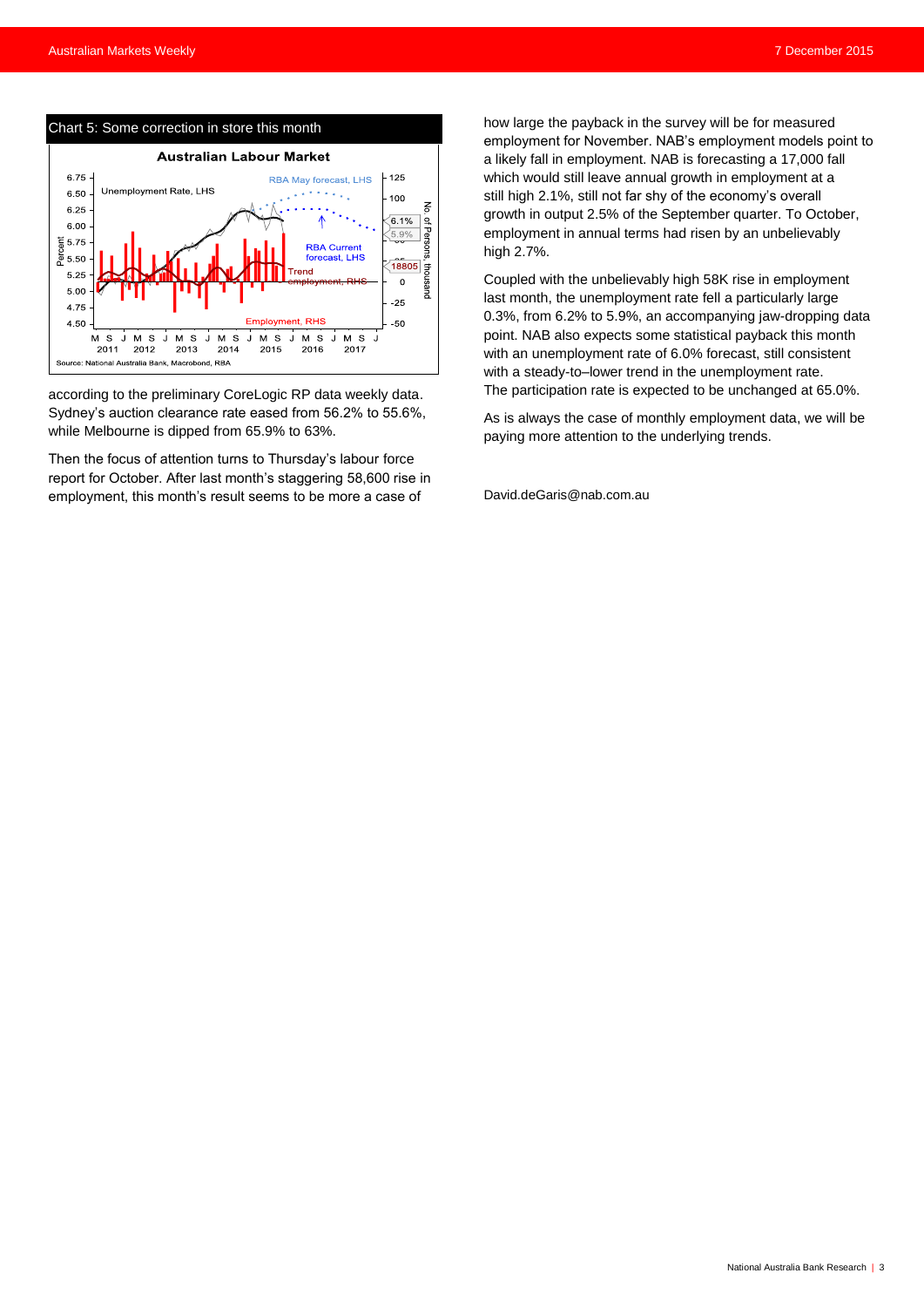

according to the preliminary CoreLogic RP data weekly data. Sydney's auction clearance rate eased from 56.2% to 55.6%, while Melbourne is dipped from 65.9% to 63%.

Then the focus of attention turns to Thursday's labour force report for October. After last month's staggering 58,600 rise in employment, this month's result seems to be more a case of

how large the payback in the survey will be for measured employment for November. NAB's employment models point to a likely fall in employment. NAB is forecasting a 17,000 fall which would still leave annual growth in employment at a still high 2.1%, still not far shy of the economy's overall growth in output 2.5% of the September quarter. To October, employment in annual terms had risen by an unbelievably high 2.7%.

Coupled with the unbelievably high 58K rise in employment last month, the unemployment rate fell a particularly large 0.3%, from 6.2% to 5.9%, an accompanying jaw-dropping data point. NAB also expects some statistical payback this month with an unemployment rate of 6.0% forecast, still consistent with a steady-to–lower trend in the unemployment rate. The participation rate is expected to be unchanged at 65.0%.

As is always the case of monthly employment data, we will be paying more attention to the underlying trends.

[David.deGaris@nab.com.au](mailto:David.deGaris@nab.com.au)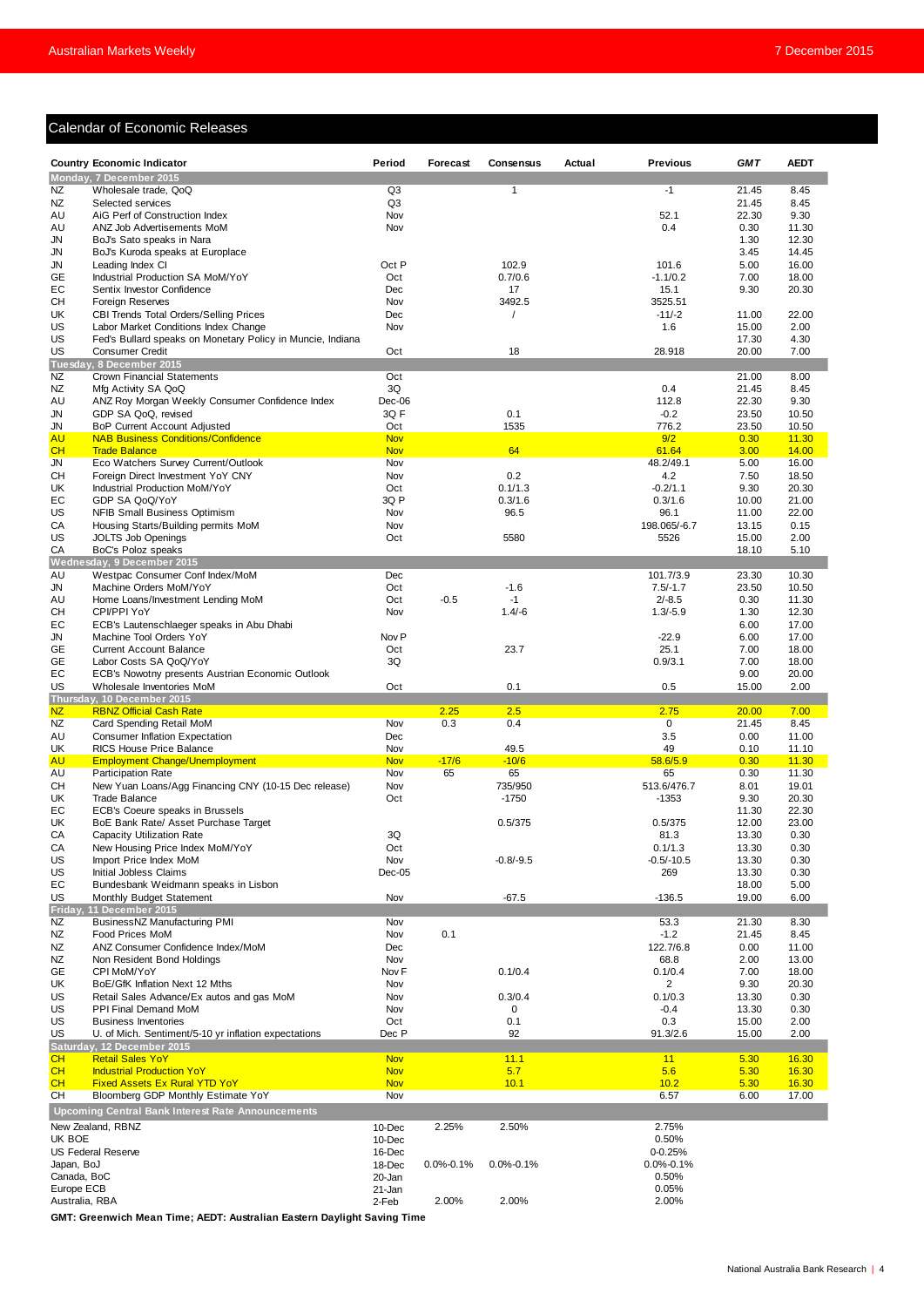# Calendar of Economic Releases

| Monday, 7 December 2015<br>Wholesale trade, QoQ<br>Q3<br>$\mathbf{1}$<br>$-1$<br>21.45<br>8.45<br>Q <sub>3</sub><br>NZ<br>21.45<br>8.45<br>Selected services<br>52.1<br>AU<br>AiG Perf of Construction Index<br>Nov<br>22.30<br>9.30<br>AU<br>ANZ Job Advertisements MoM<br>Nov<br>0.4<br>0.30<br>11.30<br>12.30<br>JN<br>BoJ's Sato speaks in Nara<br>1.30<br>JN<br>BoJ's Kuroda speaks at Europlace<br>3.45<br>14.45<br>Oct P<br>102.9<br>JN<br>Leading Index CI<br>101.6<br>5.00<br>16.00<br>0.7/0.6<br>18.00<br>Industrial Production SA MoM/YoY<br>Oct<br>$-1.1/0.2$<br>7.00<br>Sentix Investor Confidence<br>Dec<br>17<br>15.1<br>9.30<br>20.30<br>3492.5<br>Foreign Reserves<br>Nov<br>3525.51<br>$-11/-2$<br>22.00<br>CBI Trends Total Orders/Selling Prices<br>Dec<br>11.00<br>UK<br>$\prime$<br>2.00<br>US<br>Labor Market Conditions Index Change<br>Nov<br>1.6<br>15.00<br>US<br>4.30<br>Fed's Bullard speaks on Monetary Policy in Muncie, Indiana<br>17.30<br>US<br>Oct<br>18<br>28.918<br>20.00<br>7.00<br><b>Consumer Credit</b><br>Tuesday, 8 December 2015<br>Oct<br>8.00<br><b>Crown Financial Statements</b><br>21.00<br>3Q<br>0.4<br>Mfg Activity SA QoQ<br>21.45<br>8.45<br>Dec-06<br>ANZ Roy Morgan Weekly Consumer Confidence Index<br>112.8<br>22.30<br>9.30<br>3QF<br>GDP SA QoQ, revised<br>0.1<br>$-0.2$<br>23.50<br>10.50<br>Oct<br>1535<br>776.2<br>JN<br>BoP Current Account Adjusted<br>23.50<br>10.50<br><b>AU</b><br><b>NAB Business Conditions/Confidence</b><br><b>Nov</b><br>9/2<br>0.30<br>11.30<br>64<br>CH<br><b>Nov</b><br>61.64<br>14.00<br><b>Trade Balance</b><br>3.00<br>48.2/49.1<br><b>JN</b><br>Eco Watchers Survey Current/Outlook<br>16.00<br>Nov<br>5.00<br>CН<br>Foreign Direct Investment YoY CNY<br>Nov<br>0.2<br>4.2<br>7.50<br>18.50<br>0.1/1.3<br><b>Industrial Production MoM/YoY</b><br>Oct<br>$-0.2/1.1$<br>9.30<br>20.30<br>3Q P<br>0.3/1.6<br>21.00<br>GDP SA QoQ/YoY<br>0.3/1.6<br>10.00<br>US<br><b>NFIB Small Business Optimism</b><br>Nov<br>96.5<br>96.1<br>11.00<br>22.00<br>Housing Starts/Building permits MoM<br>Nov<br>198.065/-6.7<br>13.15<br>0.15<br>5580<br>2.00<br>JOLTS Job Openings<br>Oct<br>5526<br>15.00<br>СA<br>BoC's Poloz speaks<br>18.10<br>5.10<br>Wednesday, 9 December 2015<br>Dec<br>23.30<br>10.30<br>AU<br>Westpac Consumer Conf Index/MoM<br>101.7/3.9<br>JN<br>Machine Orders MoM/YoY<br>Oct<br>$-1.6$<br>$7.5/-1.7$<br>23.50<br>10.50<br>$-0.5$<br>AU<br>Home Loans/Investment Lending MoM<br>Oct<br>$-1$<br>$2/-8.5$<br>0.30<br>11.30<br>CPI/PPI YoY<br>$1.4/-6$<br>$1.3/-5.9$<br>12.30<br>CН<br>Nov<br>1.30<br>ECB's Lautenschlaeger speaks in Abu Dhabi<br>6.00<br>17.00<br>$-22.9$<br>JN<br>Machine Tool Orders YoY<br>Nov <sub>P</sub><br>6.00<br>17.00<br>23.7<br>25.1<br>18.00<br><b>Current Account Balance</b><br>Oct<br>7.00<br>3Q<br>Labor Costs SA QoQ/YoY<br>0.9/3.1<br>7.00<br>18.00<br>EC<br>20.00<br>ECB's Nowotny presents Austrian Economic Outlook<br>9.00<br>US<br>Oct<br>0.1<br>0.5<br>15.00<br>2.00<br>Wholesale Inventories MoM<br>Thursday, 10 December 2015<br><b>NZ</b><br>2.5<br>7.00<br><b>RBNZ Official Cash Rate</b><br>2.25<br>2.75<br>20.00<br>Nov<br>0.3<br>0.4<br>0<br>8.45<br>NZ<br>Card Spending Retail MoM<br>21.45<br>3.5<br>AU<br>Dec<br>0.00<br>11.00<br><b>Consumer Inflation Expectation</b><br>49<br><b>RICS House Price Balance</b><br>Nov<br>49.5<br>0.10<br>11.10<br><b>Nov</b><br>$-17/6$<br>$-10/6$<br>58.6/5.9<br>11.30<br><b>Employment Change/Unemployment</b><br>0.30<br>65<br><b>Participation Rate</b><br>Nov<br>65<br>65<br>0.30<br>11.30<br>735/950<br>513.6/476.7<br>19.01<br>New Yuan Loans/Agg Financing CNY (10-15 Dec release)<br>Nov<br>8.01<br>Oct<br>20.30<br>UK<br><b>Trade Balance</b><br>$-1750$<br>$-1353$<br>9.30<br>ECB's Coeure speaks in Brussels<br>22.30<br>EС<br>11.30<br>UK<br>0.5/375<br>0.5/375<br>23.00<br>BoE Bank Rate/ Asset Purchase Target<br>12.00<br>CA<br>Capacity Utilization Rate<br>3Q<br>81.3<br>13.30<br>0.30<br>CA<br>0.30<br>New Housing Price Index MoM/YoY<br>Oct<br>0.1/1.3<br>13.30<br>US<br>Import Price Index MoM<br>Nov<br>$-0.5/-10.5$<br>0.30<br>$-0.8/-9.5$<br>13.30<br>Initial Jobless Claims<br>$Dec-05$<br>269<br>13.30<br>0.30<br>Bundesbank Weidmann speaks in Lisbon<br>18.00<br>5.00<br>US<br>Nov<br>$-67.5$<br>6.00<br>Monthly Budget Statement<br>$-136.5$<br>19.00<br>Friday, 11 December 2015<br>8.30<br>ΝZ<br>BusinessNZ Manufacturing PMI<br>Nov<br>53.3<br>21.30<br>0.1<br>NZ<br>Food Prices MoM<br>$-1.2$<br>8.45<br>Nov<br>21.45<br>NZ<br>Dec<br>122.7/6.8<br>11.00<br>ANZ Consumer Confidence Index/MoM<br>0.00<br>NZ<br>Non Resident Bond Holdings<br>Nov<br>68.8<br>2.00<br>13.00<br>0.1/0.4<br>0.1/0.4<br>18.00<br>GE<br>CPI MoM/YoY<br>Nov F<br>7.00<br>UK<br>Nov<br>$\overline{2}$<br>20.30<br>BoE/GfK Inflation Next 12 Mths<br>9.30<br>0.3/0.4<br>Retail Sales Advance/Ex autos and gas MoM<br>Nov<br>0.1/0.3<br>13.30<br>0.30<br>$-0.4$<br>0.30<br>US<br>PPI Final Demand MoM<br>Nov<br>0<br>13.30<br>Oct<br>0.1<br>0.3<br>2.00<br><b>Business Inventories</b><br>15.00<br>Dec P<br>92<br>U. of Mich. Sentiment/5-10 yr inflation expectations<br>91.3/2.6<br>15.00<br>2.00<br>Saturday, 12 December 2015<br>CH<br><b>Retail Sales YoY</b><br><b>Nov</b><br>11.1<br>5.30<br>16.30<br>11<br>CH<br><b>Industrial Production YoY</b><br>5.7<br>5.6<br>5.30<br>16.30<br><b>Nov</b><br><b>CH</b><br>10.1<br>10.2<br>16.30<br><b>Fixed Assets Ex Rural YTD YoY</b><br><b>Nov</b><br>5.30<br>CН<br>Bloomberg GDP Monthly Estimate YoY<br>Nov<br>6.57<br>6.00<br>17.00<br><b>Upcoming Central Bank Interest Rate Announcements</b><br>2.75%<br>New Zealand, RBNZ<br>2.25%<br>2.50%<br>10-Dec<br>UK BOE<br>0.50%<br>10-Dec<br><b>US Federal Reserve</b><br>$0 - 0.25%$<br>16-Dec<br>Japan, BoJ<br>18-Dec<br>$0.0\% - 0.1\%$<br>$0.0\% - 0.1\%$<br>$0.0\% - 0.1\%$<br>Canada, BoC<br>20-Jan<br>0.50%<br>Europe ECB<br>0.05%<br>21-Jan<br>Australia, RBA |           | <b>Country Economic Indicator</b> | Period | Forecast | Consensus | Actual | <b>Previous</b> | <b>GMT</b> | <b>AEDT</b> |
|--------------------------------------------------------------------------------------------------------------------------------------------------------------------------------------------------------------------------------------------------------------------------------------------------------------------------------------------------------------------------------------------------------------------------------------------------------------------------------------------------------------------------------------------------------------------------------------------------------------------------------------------------------------------------------------------------------------------------------------------------------------------------------------------------------------------------------------------------------------------------------------------------------------------------------------------------------------------------------------------------------------------------------------------------------------------------------------------------------------------------------------------------------------------------------------------------------------------------------------------------------------------------------------------------------------------------------------------------------------------------------------------------------------------------------------------------------------------------------------------------------------------------------------------------------------------------------------------------------------------------------------------------------------------------------------------------------------------------------------------------------------------------------------------------------------------------------------------------------------------------------------------------------------------------------------------------------------------------------------------------------------------------------------------------------------------------------------------------------------------------------------------------------------------------------------------------------------------------------------------------------------------------------------------------------------------------------------------------------------------------------------------------------------------------------------------------------------------------------------------------------------------------------------------------------------------------------------------------------------------------------------------------------------------------------------------------------------------------------------------------------------------------------------------------------------------------------------------------------------------------------------------------------------------------------------------------------------------------------------------------------------------------------------------------------------------------------------------------------------------------------------------------------------------------------------------------------------------------------------------------------------------------------------------------------------------------------------------------------------------------------------------------------------------------------------------------------------------------------------------------------------------------------------------------------------------------------------------------------------------------------------------------------------------------------------------------------------------------------------------------------------------------------------------------------------------------------------------------------------------------------------------------------------------------------------------------------------------------------------------------------------------------------------------------------------------------------------------------------------------------------------------------------------------------------------------------------------------------------------------------------------------------------------------------------------------------------------------------------------------------------------------------------------------------------------------------------------------------------------------------------------------------------------------------------------------------------------------------------------------------------------------------------------------------------------------------------------------------------------------------------------------------------------------------------------------------------------------------------------------------------------------------------------------------------------------------------------------------------------------------------------------------------------------------------------------------------------------------------------------------------------------------------------------------------------------------------------------------------------------------------------------------------------------------------------------------------------------------------------------------------------------------------------------------------------------------------------------------------------------------------------------------------------------------------------------------------------------------------------------------------------------------------------------------------------------------------------------------------------------------------------------------------------------------------------------------------------------------------------------------------------------------------------------------------------------------------------------------------|-----------|-----------------------------------|--------|----------|-----------|--------|-----------------|------------|-------------|
|                                                                                                                                                                                                                                                                                                                                                                                                                                                                                                                                                                                                                                                                                                                                                                                                                                                                                                                                                                                                                                                                                                                                                                                                                                                                                                                                                                                                                                                                                                                                                                                                                                                                                                                                                                                                                                                                                                                                                                                                                                                                                                                                                                                                                                                                                                                                                                                                                                                                                                                                                                                                                                                                                                                                                                                                                                                                                                                                                                                                                                                                                                                                                                                                                                                                                                                                                                                                                                                                                                                                                                                                                                                                                                                                                                                                                                                                                                                                                                                                                                                                                                                                                                                                                                                                                                                                                                                                                                                                                                                                                                                                                                                                                                                                                                                                                                                                                                                                                                                                                                                                                                                                                                                                                                                                                                                                                                                                                                                                                                                                                                                                                                                                                                                                                                                                                                                                                                                                                                                |           |                                   |        |          |           |        |                 |            |             |
|                                                                                                                                                                                                                                                                                                                                                                                                                                                                                                                                                                                                                                                                                                                                                                                                                                                                                                                                                                                                                                                                                                                                                                                                                                                                                                                                                                                                                                                                                                                                                                                                                                                                                                                                                                                                                                                                                                                                                                                                                                                                                                                                                                                                                                                                                                                                                                                                                                                                                                                                                                                                                                                                                                                                                                                                                                                                                                                                                                                                                                                                                                                                                                                                                                                                                                                                                                                                                                                                                                                                                                                                                                                                                                                                                                                                                                                                                                                                                                                                                                                                                                                                                                                                                                                                                                                                                                                                                                                                                                                                                                                                                                                                                                                                                                                                                                                                                                                                                                                                                                                                                                                                                                                                                                                                                                                                                                                                                                                                                                                                                                                                                                                                                                                                                                                                                                                                                                                                                                                | NZ        |                                   |        |          |           |        |                 |            |             |
|                                                                                                                                                                                                                                                                                                                                                                                                                                                                                                                                                                                                                                                                                                                                                                                                                                                                                                                                                                                                                                                                                                                                                                                                                                                                                                                                                                                                                                                                                                                                                                                                                                                                                                                                                                                                                                                                                                                                                                                                                                                                                                                                                                                                                                                                                                                                                                                                                                                                                                                                                                                                                                                                                                                                                                                                                                                                                                                                                                                                                                                                                                                                                                                                                                                                                                                                                                                                                                                                                                                                                                                                                                                                                                                                                                                                                                                                                                                                                                                                                                                                                                                                                                                                                                                                                                                                                                                                                                                                                                                                                                                                                                                                                                                                                                                                                                                                                                                                                                                                                                                                                                                                                                                                                                                                                                                                                                                                                                                                                                                                                                                                                                                                                                                                                                                                                                                                                                                                                                                |           |                                   |        |          |           |        |                 |            |             |
|                                                                                                                                                                                                                                                                                                                                                                                                                                                                                                                                                                                                                                                                                                                                                                                                                                                                                                                                                                                                                                                                                                                                                                                                                                                                                                                                                                                                                                                                                                                                                                                                                                                                                                                                                                                                                                                                                                                                                                                                                                                                                                                                                                                                                                                                                                                                                                                                                                                                                                                                                                                                                                                                                                                                                                                                                                                                                                                                                                                                                                                                                                                                                                                                                                                                                                                                                                                                                                                                                                                                                                                                                                                                                                                                                                                                                                                                                                                                                                                                                                                                                                                                                                                                                                                                                                                                                                                                                                                                                                                                                                                                                                                                                                                                                                                                                                                                                                                                                                                                                                                                                                                                                                                                                                                                                                                                                                                                                                                                                                                                                                                                                                                                                                                                                                                                                                                                                                                                                                                |           |                                   |        |          |           |        |                 |            |             |
|                                                                                                                                                                                                                                                                                                                                                                                                                                                                                                                                                                                                                                                                                                                                                                                                                                                                                                                                                                                                                                                                                                                                                                                                                                                                                                                                                                                                                                                                                                                                                                                                                                                                                                                                                                                                                                                                                                                                                                                                                                                                                                                                                                                                                                                                                                                                                                                                                                                                                                                                                                                                                                                                                                                                                                                                                                                                                                                                                                                                                                                                                                                                                                                                                                                                                                                                                                                                                                                                                                                                                                                                                                                                                                                                                                                                                                                                                                                                                                                                                                                                                                                                                                                                                                                                                                                                                                                                                                                                                                                                                                                                                                                                                                                                                                                                                                                                                                                                                                                                                                                                                                                                                                                                                                                                                                                                                                                                                                                                                                                                                                                                                                                                                                                                                                                                                                                                                                                                                                                |           |                                   |        |          |           |        |                 |            |             |
|                                                                                                                                                                                                                                                                                                                                                                                                                                                                                                                                                                                                                                                                                                                                                                                                                                                                                                                                                                                                                                                                                                                                                                                                                                                                                                                                                                                                                                                                                                                                                                                                                                                                                                                                                                                                                                                                                                                                                                                                                                                                                                                                                                                                                                                                                                                                                                                                                                                                                                                                                                                                                                                                                                                                                                                                                                                                                                                                                                                                                                                                                                                                                                                                                                                                                                                                                                                                                                                                                                                                                                                                                                                                                                                                                                                                                                                                                                                                                                                                                                                                                                                                                                                                                                                                                                                                                                                                                                                                                                                                                                                                                                                                                                                                                                                                                                                                                                                                                                                                                                                                                                                                                                                                                                                                                                                                                                                                                                                                                                                                                                                                                                                                                                                                                                                                                                                                                                                                                                                |           |                                   |        |          |           |        |                 |            |             |
|                                                                                                                                                                                                                                                                                                                                                                                                                                                                                                                                                                                                                                                                                                                                                                                                                                                                                                                                                                                                                                                                                                                                                                                                                                                                                                                                                                                                                                                                                                                                                                                                                                                                                                                                                                                                                                                                                                                                                                                                                                                                                                                                                                                                                                                                                                                                                                                                                                                                                                                                                                                                                                                                                                                                                                                                                                                                                                                                                                                                                                                                                                                                                                                                                                                                                                                                                                                                                                                                                                                                                                                                                                                                                                                                                                                                                                                                                                                                                                                                                                                                                                                                                                                                                                                                                                                                                                                                                                                                                                                                                                                                                                                                                                                                                                                                                                                                                                                                                                                                                                                                                                                                                                                                                                                                                                                                                                                                                                                                                                                                                                                                                                                                                                                                                                                                                                                                                                                                                                                |           |                                   |        |          |           |        |                 |            |             |
|                                                                                                                                                                                                                                                                                                                                                                                                                                                                                                                                                                                                                                                                                                                                                                                                                                                                                                                                                                                                                                                                                                                                                                                                                                                                                                                                                                                                                                                                                                                                                                                                                                                                                                                                                                                                                                                                                                                                                                                                                                                                                                                                                                                                                                                                                                                                                                                                                                                                                                                                                                                                                                                                                                                                                                                                                                                                                                                                                                                                                                                                                                                                                                                                                                                                                                                                                                                                                                                                                                                                                                                                                                                                                                                                                                                                                                                                                                                                                                                                                                                                                                                                                                                                                                                                                                                                                                                                                                                                                                                                                                                                                                                                                                                                                                                                                                                                                                                                                                                                                                                                                                                                                                                                                                                                                                                                                                                                                                                                                                                                                                                                                                                                                                                                                                                                                                                                                                                                                                                | <b>GE</b> |                                   |        |          |           |        |                 |            |             |
|                                                                                                                                                                                                                                                                                                                                                                                                                                                                                                                                                                                                                                                                                                                                                                                                                                                                                                                                                                                                                                                                                                                                                                                                                                                                                                                                                                                                                                                                                                                                                                                                                                                                                                                                                                                                                                                                                                                                                                                                                                                                                                                                                                                                                                                                                                                                                                                                                                                                                                                                                                                                                                                                                                                                                                                                                                                                                                                                                                                                                                                                                                                                                                                                                                                                                                                                                                                                                                                                                                                                                                                                                                                                                                                                                                                                                                                                                                                                                                                                                                                                                                                                                                                                                                                                                                                                                                                                                                                                                                                                                                                                                                                                                                                                                                                                                                                                                                                                                                                                                                                                                                                                                                                                                                                                                                                                                                                                                                                                                                                                                                                                                                                                                                                                                                                                                                                                                                                                                                                | EC        |                                   |        |          |           |        |                 |            |             |
|                                                                                                                                                                                                                                                                                                                                                                                                                                                                                                                                                                                                                                                                                                                                                                                                                                                                                                                                                                                                                                                                                                                                                                                                                                                                                                                                                                                                                                                                                                                                                                                                                                                                                                                                                                                                                                                                                                                                                                                                                                                                                                                                                                                                                                                                                                                                                                                                                                                                                                                                                                                                                                                                                                                                                                                                                                                                                                                                                                                                                                                                                                                                                                                                                                                                                                                                                                                                                                                                                                                                                                                                                                                                                                                                                                                                                                                                                                                                                                                                                                                                                                                                                                                                                                                                                                                                                                                                                                                                                                                                                                                                                                                                                                                                                                                                                                                                                                                                                                                                                                                                                                                                                                                                                                                                                                                                                                                                                                                                                                                                                                                                                                                                                                                                                                                                                                                                                                                                                                                | CН        |                                   |        |          |           |        |                 |            |             |
|                                                                                                                                                                                                                                                                                                                                                                                                                                                                                                                                                                                                                                                                                                                                                                                                                                                                                                                                                                                                                                                                                                                                                                                                                                                                                                                                                                                                                                                                                                                                                                                                                                                                                                                                                                                                                                                                                                                                                                                                                                                                                                                                                                                                                                                                                                                                                                                                                                                                                                                                                                                                                                                                                                                                                                                                                                                                                                                                                                                                                                                                                                                                                                                                                                                                                                                                                                                                                                                                                                                                                                                                                                                                                                                                                                                                                                                                                                                                                                                                                                                                                                                                                                                                                                                                                                                                                                                                                                                                                                                                                                                                                                                                                                                                                                                                                                                                                                                                                                                                                                                                                                                                                                                                                                                                                                                                                                                                                                                                                                                                                                                                                                                                                                                                                                                                                                                                                                                                                                                |           |                                   |        |          |           |        |                 |            |             |
|                                                                                                                                                                                                                                                                                                                                                                                                                                                                                                                                                                                                                                                                                                                                                                                                                                                                                                                                                                                                                                                                                                                                                                                                                                                                                                                                                                                                                                                                                                                                                                                                                                                                                                                                                                                                                                                                                                                                                                                                                                                                                                                                                                                                                                                                                                                                                                                                                                                                                                                                                                                                                                                                                                                                                                                                                                                                                                                                                                                                                                                                                                                                                                                                                                                                                                                                                                                                                                                                                                                                                                                                                                                                                                                                                                                                                                                                                                                                                                                                                                                                                                                                                                                                                                                                                                                                                                                                                                                                                                                                                                                                                                                                                                                                                                                                                                                                                                                                                                                                                                                                                                                                                                                                                                                                                                                                                                                                                                                                                                                                                                                                                                                                                                                                                                                                                                                                                                                                                                                |           |                                   |        |          |           |        |                 |            |             |
|                                                                                                                                                                                                                                                                                                                                                                                                                                                                                                                                                                                                                                                                                                                                                                                                                                                                                                                                                                                                                                                                                                                                                                                                                                                                                                                                                                                                                                                                                                                                                                                                                                                                                                                                                                                                                                                                                                                                                                                                                                                                                                                                                                                                                                                                                                                                                                                                                                                                                                                                                                                                                                                                                                                                                                                                                                                                                                                                                                                                                                                                                                                                                                                                                                                                                                                                                                                                                                                                                                                                                                                                                                                                                                                                                                                                                                                                                                                                                                                                                                                                                                                                                                                                                                                                                                                                                                                                                                                                                                                                                                                                                                                                                                                                                                                                                                                                                                                                                                                                                                                                                                                                                                                                                                                                                                                                                                                                                                                                                                                                                                                                                                                                                                                                                                                                                                                                                                                                                                                |           |                                   |        |          |           |        |                 |            |             |
|                                                                                                                                                                                                                                                                                                                                                                                                                                                                                                                                                                                                                                                                                                                                                                                                                                                                                                                                                                                                                                                                                                                                                                                                                                                                                                                                                                                                                                                                                                                                                                                                                                                                                                                                                                                                                                                                                                                                                                                                                                                                                                                                                                                                                                                                                                                                                                                                                                                                                                                                                                                                                                                                                                                                                                                                                                                                                                                                                                                                                                                                                                                                                                                                                                                                                                                                                                                                                                                                                                                                                                                                                                                                                                                                                                                                                                                                                                                                                                                                                                                                                                                                                                                                                                                                                                                                                                                                                                                                                                                                                                                                                                                                                                                                                                                                                                                                                                                                                                                                                                                                                                                                                                                                                                                                                                                                                                                                                                                                                                                                                                                                                                                                                                                                                                                                                                                                                                                                                                                |           |                                   |        |          |           |        |                 |            |             |
|                                                                                                                                                                                                                                                                                                                                                                                                                                                                                                                                                                                                                                                                                                                                                                                                                                                                                                                                                                                                                                                                                                                                                                                                                                                                                                                                                                                                                                                                                                                                                                                                                                                                                                                                                                                                                                                                                                                                                                                                                                                                                                                                                                                                                                                                                                                                                                                                                                                                                                                                                                                                                                                                                                                                                                                                                                                                                                                                                                                                                                                                                                                                                                                                                                                                                                                                                                                                                                                                                                                                                                                                                                                                                                                                                                                                                                                                                                                                                                                                                                                                                                                                                                                                                                                                                                                                                                                                                                                                                                                                                                                                                                                                                                                                                                                                                                                                                                                                                                                                                                                                                                                                                                                                                                                                                                                                                                                                                                                                                                                                                                                                                                                                                                                                                                                                                                                                                                                                                                                | NZ        |                                   |        |          |           |        |                 |            |             |
|                                                                                                                                                                                                                                                                                                                                                                                                                                                                                                                                                                                                                                                                                                                                                                                                                                                                                                                                                                                                                                                                                                                                                                                                                                                                                                                                                                                                                                                                                                                                                                                                                                                                                                                                                                                                                                                                                                                                                                                                                                                                                                                                                                                                                                                                                                                                                                                                                                                                                                                                                                                                                                                                                                                                                                                                                                                                                                                                                                                                                                                                                                                                                                                                                                                                                                                                                                                                                                                                                                                                                                                                                                                                                                                                                                                                                                                                                                                                                                                                                                                                                                                                                                                                                                                                                                                                                                                                                                                                                                                                                                                                                                                                                                                                                                                                                                                                                                                                                                                                                                                                                                                                                                                                                                                                                                                                                                                                                                                                                                                                                                                                                                                                                                                                                                                                                                                                                                                                                                                | NZ        |                                   |        |          |           |        |                 |            |             |
|                                                                                                                                                                                                                                                                                                                                                                                                                                                                                                                                                                                                                                                                                                                                                                                                                                                                                                                                                                                                                                                                                                                                                                                                                                                                                                                                                                                                                                                                                                                                                                                                                                                                                                                                                                                                                                                                                                                                                                                                                                                                                                                                                                                                                                                                                                                                                                                                                                                                                                                                                                                                                                                                                                                                                                                                                                                                                                                                                                                                                                                                                                                                                                                                                                                                                                                                                                                                                                                                                                                                                                                                                                                                                                                                                                                                                                                                                                                                                                                                                                                                                                                                                                                                                                                                                                                                                                                                                                                                                                                                                                                                                                                                                                                                                                                                                                                                                                                                                                                                                                                                                                                                                                                                                                                                                                                                                                                                                                                                                                                                                                                                                                                                                                                                                                                                                                                                                                                                                                                | AU        |                                   |        |          |           |        |                 |            |             |
|                                                                                                                                                                                                                                                                                                                                                                                                                                                                                                                                                                                                                                                                                                                                                                                                                                                                                                                                                                                                                                                                                                                                                                                                                                                                                                                                                                                                                                                                                                                                                                                                                                                                                                                                                                                                                                                                                                                                                                                                                                                                                                                                                                                                                                                                                                                                                                                                                                                                                                                                                                                                                                                                                                                                                                                                                                                                                                                                                                                                                                                                                                                                                                                                                                                                                                                                                                                                                                                                                                                                                                                                                                                                                                                                                                                                                                                                                                                                                                                                                                                                                                                                                                                                                                                                                                                                                                                                                                                                                                                                                                                                                                                                                                                                                                                                                                                                                                                                                                                                                                                                                                                                                                                                                                                                                                                                                                                                                                                                                                                                                                                                                                                                                                                                                                                                                                                                                                                                                                                | JN        |                                   |        |          |           |        |                 |            |             |
|                                                                                                                                                                                                                                                                                                                                                                                                                                                                                                                                                                                                                                                                                                                                                                                                                                                                                                                                                                                                                                                                                                                                                                                                                                                                                                                                                                                                                                                                                                                                                                                                                                                                                                                                                                                                                                                                                                                                                                                                                                                                                                                                                                                                                                                                                                                                                                                                                                                                                                                                                                                                                                                                                                                                                                                                                                                                                                                                                                                                                                                                                                                                                                                                                                                                                                                                                                                                                                                                                                                                                                                                                                                                                                                                                                                                                                                                                                                                                                                                                                                                                                                                                                                                                                                                                                                                                                                                                                                                                                                                                                                                                                                                                                                                                                                                                                                                                                                                                                                                                                                                                                                                                                                                                                                                                                                                                                                                                                                                                                                                                                                                                                                                                                                                                                                                                                                                                                                                                                                |           |                                   |        |          |           |        |                 |            |             |
|                                                                                                                                                                                                                                                                                                                                                                                                                                                                                                                                                                                                                                                                                                                                                                                                                                                                                                                                                                                                                                                                                                                                                                                                                                                                                                                                                                                                                                                                                                                                                                                                                                                                                                                                                                                                                                                                                                                                                                                                                                                                                                                                                                                                                                                                                                                                                                                                                                                                                                                                                                                                                                                                                                                                                                                                                                                                                                                                                                                                                                                                                                                                                                                                                                                                                                                                                                                                                                                                                                                                                                                                                                                                                                                                                                                                                                                                                                                                                                                                                                                                                                                                                                                                                                                                                                                                                                                                                                                                                                                                                                                                                                                                                                                                                                                                                                                                                                                                                                                                                                                                                                                                                                                                                                                                                                                                                                                                                                                                                                                                                                                                                                                                                                                                                                                                                                                                                                                                                                                |           |                                   |        |          |           |        |                 |            |             |
|                                                                                                                                                                                                                                                                                                                                                                                                                                                                                                                                                                                                                                                                                                                                                                                                                                                                                                                                                                                                                                                                                                                                                                                                                                                                                                                                                                                                                                                                                                                                                                                                                                                                                                                                                                                                                                                                                                                                                                                                                                                                                                                                                                                                                                                                                                                                                                                                                                                                                                                                                                                                                                                                                                                                                                                                                                                                                                                                                                                                                                                                                                                                                                                                                                                                                                                                                                                                                                                                                                                                                                                                                                                                                                                                                                                                                                                                                                                                                                                                                                                                                                                                                                                                                                                                                                                                                                                                                                                                                                                                                                                                                                                                                                                                                                                                                                                                                                                                                                                                                                                                                                                                                                                                                                                                                                                                                                                                                                                                                                                                                                                                                                                                                                                                                                                                                                                                                                                                                                                |           |                                   |        |          |           |        |                 |            |             |
|                                                                                                                                                                                                                                                                                                                                                                                                                                                                                                                                                                                                                                                                                                                                                                                                                                                                                                                                                                                                                                                                                                                                                                                                                                                                                                                                                                                                                                                                                                                                                                                                                                                                                                                                                                                                                                                                                                                                                                                                                                                                                                                                                                                                                                                                                                                                                                                                                                                                                                                                                                                                                                                                                                                                                                                                                                                                                                                                                                                                                                                                                                                                                                                                                                                                                                                                                                                                                                                                                                                                                                                                                                                                                                                                                                                                                                                                                                                                                                                                                                                                                                                                                                                                                                                                                                                                                                                                                                                                                                                                                                                                                                                                                                                                                                                                                                                                                                                                                                                                                                                                                                                                                                                                                                                                                                                                                                                                                                                                                                                                                                                                                                                                                                                                                                                                                                                                                                                                                                                |           |                                   |        |          |           |        |                 |            |             |
|                                                                                                                                                                                                                                                                                                                                                                                                                                                                                                                                                                                                                                                                                                                                                                                                                                                                                                                                                                                                                                                                                                                                                                                                                                                                                                                                                                                                                                                                                                                                                                                                                                                                                                                                                                                                                                                                                                                                                                                                                                                                                                                                                                                                                                                                                                                                                                                                                                                                                                                                                                                                                                                                                                                                                                                                                                                                                                                                                                                                                                                                                                                                                                                                                                                                                                                                                                                                                                                                                                                                                                                                                                                                                                                                                                                                                                                                                                                                                                                                                                                                                                                                                                                                                                                                                                                                                                                                                                                                                                                                                                                                                                                                                                                                                                                                                                                                                                                                                                                                                                                                                                                                                                                                                                                                                                                                                                                                                                                                                                                                                                                                                                                                                                                                                                                                                                                                                                                                                                                | UK        |                                   |        |          |           |        |                 |            |             |
|                                                                                                                                                                                                                                                                                                                                                                                                                                                                                                                                                                                                                                                                                                                                                                                                                                                                                                                                                                                                                                                                                                                                                                                                                                                                                                                                                                                                                                                                                                                                                                                                                                                                                                                                                                                                                                                                                                                                                                                                                                                                                                                                                                                                                                                                                                                                                                                                                                                                                                                                                                                                                                                                                                                                                                                                                                                                                                                                                                                                                                                                                                                                                                                                                                                                                                                                                                                                                                                                                                                                                                                                                                                                                                                                                                                                                                                                                                                                                                                                                                                                                                                                                                                                                                                                                                                                                                                                                                                                                                                                                                                                                                                                                                                                                                                                                                                                                                                                                                                                                                                                                                                                                                                                                                                                                                                                                                                                                                                                                                                                                                                                                                                                                                                                                                                                                                                                                                                                                                                | EC        |                                   |        |          |           |        |                 |            |             |
|                                                                                                                                                                                                                                                                                                                                                                                                                                                                                                                                                                                                                                                                                                                                                                                                                                                                                                                                                                                                                                                                                                                                                                                                                                                                                                                                                                                                                                                                                                                                                                                                                                                                                                                                                                                                                                                                                                                                                                                                                                                                                                                                                                                                                                                                                                                                                                                                                                                                                                                                                                                                                                                                                                                                                                                                                                                                                                                                                                                                                                                                                                                                                                                                                                                                                                                                                                                                                                                                                                                                                                                                                                                                                                                                                                                                                                                                                                                                                                                                                                                                                                                                                                                                                                                                                                                                                                                                                                                                                                                                                                                                                                                                                                                                                                                                                                                                                                                                                                                                                                                                                                                                                                                                                                                                                                                                                                                                                                                                                                                                                                                                                                                                                                                                                                                                                                                                                                                                                                                |           |                                   |        |          |           |        |                 |            |             |
|                                                                                                                                                                                                                                                                                                                                                                                                                                                                                                                                                                                                                                                                                                                                                                                                                                                                                                                                                                                                                                                                                                                                                                                                                                                                                                                                                                                                                                                                                                                                                                                                                                                                                                                                                                                                                                                                                                                                                                                                                                                                                                                                                                                                                                                                                                                                                                                                                                                                                                                                                                                                                                                                                                                                                                                                                                                                                                                                                                                                                                                                                                                                                                                                                                                                                                                                                                                                                                                                                                                                                                                                                                                                                                                                                                                                                                                                                                                                                                                                                                                                                                                                                                                                                                                                                                                                                                                                                                                                                                                                                                                                                                                                                                                                                                                                                                                                                                                                                                                                                                                                                                                                                                                                                                                                                                                                                                                                                                                                                                                                                                                                                                                                                                                                                                                                                                                                                                                                                                                | CA        |                                   |        |          |           |        |                 |            |             |
|                                                                                                                                                                                                                                                                                                                                                                                                                                                                                                                                                                                                                                                                                                                                                                                                                                                                                                                                                                                                                                                                                                                                                                                                                                                                                                                                                                                                                                                                                                                                                                                                                                                                                                                                                                                                                                                                                                                                                                                                                                                                                                                                                                                                                                                                                                                                                                                                                                                                                                                                                                                                                                                                                                                                                                                                                                                                                                                                                                                                                                                                                                                                                                                                                                                                                                                                                                                                                                                                                                                                                                                                                                                                                                                                                                                                                                                                                                                                                                                                                                                                                                                                                                                                                                                                                                                                                                                                                                                                                                                                                                                                                                                                                                                                                                                                                                                                                                                                                                                                                                                                                                                                                                                                                                                                                                                                                                                                                                                                                                                                                                                                                                                                                                                                                                                                                                                                                                                                                                                | US        |                                   |        |          |           |        |                 |            |             |
|                                                                                                                                                                                                                                                                                                                                                                                                                                                                                                                                                                                                                                                                                                                                                                                                                                                                                                                                                                                                                                                                                                                                                                                                                                                                                                                                                                                                                                                                                                                                                                                                                                                                                                                                                                                                                                                                                                                                                                                                                                                                                                                                                                                                                                                                                                                                                                                                                                                                                                                                                                                                                                                                                                                                                                                                                                                                                                                                                                                                                                                                                                                                                                                                                                                                                                                                                                                                                                                                                                                                                                                                                                                                                                                                                                                                                                                                                                                                                                                                                                                                                                                                                                                                                                                                                                                                                                                                                                                                                                                                                                                                                                                                                                                                                                                                                                                                                                                                                                                                                                                                                                                                                                                                                                                                                                                                                                                                                                                                                                                                                                                                                                                                                                                                                                                                                                                                                                                                                                                |           |                                   |        |          |           |        |                 |            |             |
|                                                                                                                                                                                                                                                                                                                                                                                                                                                                                                                                                                                                                                                                                                                                                                                                                                                                                                                                                                                                                                                                                                                                                                                                                                                                                                                                                                                                                                                                                                                                                                                                                                                                                                                                                                                                                                                                                                                                                                                                                                                                                                                                                                                                                                                                                                                                                                                                                                                                                                                                                                                                                                                                                                                                                                                                                                                                                                                                                                                                                                                                                                                                                                                                                                                                                                                                                                                                                                                                                                                                                                                                                                                                                                                                                                                                                                                                                                                                                                                                                                                                                                                                                                                                                                                                                                                                                                                                                                                                                                                                                                                                                                                                                                                                                                                                                                                                                                                                                                                                                                                                                                                                                                                                                                                                                                                                                                                                                                                                                                                                                                                                                                                                                                                                                                                                                                                                                                                                                                                |           |                                   |        |          |           |        |                 |            |             |
|                                                                                                                                                                                                                                                                                                                                                                                                                                                                                                                                                                                                                                                                                                                                                                                                                                                                                                                                                                                                                                                                                                                                                                                                                                                                                                                                                                                                                                                                                                                                                                                                                                                                                                                                                                                                                                                                                                                                                                                                                                                                                                                                                                                                                                                                                                                                                                                                                                                                                                                                                                                                                                                                                                                                                                                                                                                                                                                                                                                                                                                                                                                                                                                                                                                                                                                                                                                                                                                                                                                                                                                                                                                                                                                                                                                                                                                                                                                                                                                                                                                                                                                                                                                                                                                                                                                                                                                                                                                                                                                                                                                                                                                                                                                                                                                                                                                                                                                                                                                                                                                                                                                                                                                                                                                                                                                                                                                                                                                                                                                                                                                                                                                                                                                                                                                                                                                                                                                                                                                |           |                                   |        |          |           |        |                 |            |             |
|                                                                                                                                                                                                                                                                                                                                                                                                                                                                                                                                                                                                                                                                                                                                                                                                                                                                                                                                                                                                                                                                                                                                                                                                                                                                                                                                                                                                                                                                                                                                                                                                                                                                                                                                                                                                                                                                                                                                                                                                                                                                                                                                                                                                                                                                                                                                                                                                                                                                                                                                                                                                                                                                                                                                                                                                                                                                                                                                                                                                                                                                                                                                                                                                                                                                                                                                                                                                                                                                                                                                                                                                                                                                                                                                                                                                                                                                                                                                                                                                                                                                                                                                                                                                                                                                                                                                                                                                                                                                                                                                                                                                                                                                                                                                                                                                                                                                                                                                                                                                                                                                                                                                                                                                                                                                                                                                                                                                                                                                                                                                                                                                                                                                                                                                                                                                                                                                                                                                                                                |           |                                   |        |          |           |        |                 |            |             |
|                                                                                                                                                                                                                                                                                                                                                                                                                                                                                                                                                                                                                                                                                                                                                                                                                                                                                                                                                                                                                                                                                                                                                                                                                                                                                                                                                                                                                                                                                                                                                                                                                                                                                                                                                                                                                                                                                                                                                                                                                                                                                                                                                                                                                                                                                                                                                                                                                                                                                                                                                                                                                                                                                                                                                                                                                                                                                                                                                                                                                                                                                                                                                                                                                                                                                                                                                                                                                                                                                                                                                                                                                                                                                                                                                                                                                                                                                                                                                                                                                                                                                                                                                                                                                                                                                                                                                                                                                                                                                                                                                                                                                                                                                                                                                                                                                                                                                                                                                                                                                                                                                                                                                                                                                                                                                                                                                                                                                                                                                                                                                                                                                                                                                                                                                                                                                                                                                                                                                                                |           |                                   |        |          |           |        |                 |            |             |
|                                                                                                                                                                                                                                                                                                                                                                                                                                                                                                                                                                                                                                                                                                                                                                                                                                                                                                                                                                                                                                                                                                                                                                                                                                                                                                                                                                                                                                                                                                                                                                                                                                                                                                                                                                                                                                                                                                                                                                                                                                                                                                                                                                                                                                                                                                                                                                                                                                                                                                                                                                                                                                                                                                                                                                                                                                                                                                                                                                                                                                                                                                                                                                                                                                                                                                                                                                                                                                                                                                                                                                                                                                                                                                                                                                                                                                                                                                                                                                                                                                                                                                                                                                                                                                                                                                                                                                                                                                                                                                                                                                                                                                                                                                                                                                                                                                                                                                                                                                                                                                                                                                                                                                                                                                                                                                                                                                                                                                                                                                                                                                                                                                                                                                                                                                                                                                                                                                                                                                                | EC        |                                   |        |          |           |        |                 |            |             |
|                                                                                                                                                                                                                                                                                                                                                                                                                                                                                                                                                                                                                                                                                                                                                                                                                                                                                                                                                                                                                                                                                                                                                                                                                                                                                                                                                                                                                                                                                                                                                                                                                                                                                                                                                                                                                                                                                                                                                                                                                                                                                                                                                                                                                                                                                                                                                                                                                                                                                                                                                                                                                                                                                                                                                                                                                                                                                                                                                                                                                                                                                                                                                                                                                                                                                                                                                                                                                                                                                                                                                                                                                                                                                                                                                                                                                                                                                                                                                                                                                                                                                                                                                                                                                                                                                                                                                                                                                                                                                                                                                                                                                                                                                                                                                                                                                                                                                                                                                                                                                                                                                                                                                                                                                                                                                                                                                                                                                                                                                                                                                                                                                                                                                                                                                                                                                                                                                                                                                                                |           |                                   |        |          |           |        |                 |            |             |
|                                                                                                                                                                                                                                                                                                                                                                                                                                                                                                                                                                                                                                                                                                                                                                                                                                                                                                                                                                                                                                                                                                                                                                                                                                                                                                                                                                                                                                                                                                                                                                                                                                                                                                                                                                                                                                                                                                                                                                                                                                                                                                                                                                                                                                                                                                                                                                                                                                                                                                                                                                                                                                                                                                                                                                                                                                                                                                                                                                                                                                                                                                                                                                                                                                                                                                                                                                                                                                                                                                                                                                                                                                                                                                                                                                                                                                                                                                                                                                                                                                                                                                                                                                                                                                                                                                                                                                                                                                                                                                                                                                                                                                                                                                                                                                                                                                                                                                                                                                                                                                                                                                                                                                                                                                                                                                                                                                                                                                                                                                                                                                                                                                                                                                                                                                                                                                                                                                                                                                                | GE        |                                   |        |          |           |        |                 |            |             |
|                                                                                                                                                                                                                                                                                                                                                                                                                                                                                                                                                                                                                                                                                                                                                                                                                                                                                                                                                                                                                                                                                                                                                                                                                                                                                                                                                                                                                                                                                                                                                                                                                                                                                                                                                                                                                                                                                                                                                                                                                                                                                                                                                                                                                                                                                                                                                                                                                                                                                                                                                                                                                                                                                                                                                                                                                                                                                                                                                                                                                                                                                                                                                                                                                                                                                                                                                                                                                                                                                                                                                                                                                                                                                                                                                                                                                                                                                                                                                                                                                                                                                                                                                                                                                                                                                                                                                                                                                                                                                                                                                                                                                                                                                                                                                                                                                                                                                                                                                                                                                                                                                                                                                                                                                                                                                                                                                                                                                                                                                                                                                                                                                                                                                                                                                                                                                                                                                                                                                                                | GE        |                                   |        |          |           |        |                 |            |             |
|                                                                                                                                                                                                                                                                                                                                                                                                                                                                                                                                                                                                                                                                                                                                                                                                                                                                                                                                                                                                                                                                                                                                                                                                                                                                                                                                                                                                                                                                                                                                                                                                                                                                                                                                                                                                                                                                                                                                                                                                                                                                                                                                                                                                                                                                                                                                                                                                                                                                                                                                                                                                                                                                                                                                                                                                                                                                                                                                                                                                                                                                                                                                                                                                                                                                                                                                                                                                                                                                                                                                                                                                                                                                                                                                                                                                                                                                                                                                                                                                                                                                                                                                                                                                                                                                                                                                                                                                                                                                                                                                                                                                                                                                                                                                                                                                                                                                                                                                                                                                                                                                                                                                                                                                                                                                                                                                                                                                                                                                                                                                                                                                                                                                                                                                                                                                                                                                                                                                                                                |           |                                   |        |          |           |        |                 |            |             |
|                                                                                                                                                                                                                                                                                                                                                                                                                                                                                                                                                                                                                                                                                                                                                                                                                                                                                                                                                                                                                                                                                                                                                                                                                                                                                                                                                                                                                                                                                                                                                                                                                                                                                                                                                                                                                                                                                                                                                                                                                                                                                                                                                                                                                                                                                                                                                                                                                                                                                                                                                                                                                                                                                                                                                                                                                                                                                                                                                                                                                                                                                                                                                                                                                                                                                                                                                                                                                                                                                                                                                                                                                                                                                                                                                                                                                                                                                                                                                                                                                                                                                                                                                                                                                                                                                                                                                                                                                                                                                                                                                                                                                                                                                                                                                                                                                                                                                                                                                                                                                                                                                                                                                                                                                                                                                                                                                                                                                                                                                                                                                                                                                                                                                                                                                                                                                                                                                                                                                                                |           |                                   |        |          |           |        |                 |            |             |
|                                                                                                                                                                                                                                                                                                                                                                                                                                                                                                                                                                                                                                                                                                                                                                                                                                                                                                                                                                                                                                                                                                                                                                                                                                                                                                                                                                                                                                                                                                                                                                                                                                                                                                                                                                                                                                                                                                                                                                                                                                                                                                                                                                                                                                                                                                                                                                                                                                                                                                                                                                                                                                                                                                                                                                                                                                                                                                                                                                                                                                                                                                                                                                                                                                                                                                                                                                                                                                                                                                                                                                                                                                                                                                                                                                                                                                                                                                                                                                                                                                                                                                                                                                                                                                                                                                                                                                                                                                                                                                                                                                                                                                                                                                                                                                                                                                                                                                                                                                                                                                                                                                                                                                                                                                                                                                                                                                                                                                                                                                                                                                                                                                                                                                                                                                                                                                                                                                                                                                                |           |                                   |        |          |           |        |                 |            |             |
|                                                                                                                                                                                                                                                                                                                                                                                                                                                                                                                                                                                                                                                                                                                                                                                                                                                                                                                                                                                                                                                                                                                                                                                                                                                                                                                                                                                                                                                                                                                                                                                                                                                                                                                                                                                                                                                                                                                                                                                                                                                                                                                                                                                                                                                                                                                                                                                                                                                                                                                                                                                                                                                                                                                                                                                                                                                                                                                                                                                                                                                                                                                                                                                                                                                                                                                                                                                                                                                                                                                                                                                                                                                                                                                                                                                                                                                                                                                                                                                                                                                                                                                                                                                                                                                                                                                                                                                                                                                                                                                                                                                                                                                                                                                                                                                                                                                                                                                                                                                                                                                                                                                                                                                                                                                                                                                                                                                                                                                                                                                                                                                                                                                                                                                                                                                                                                                                                                                                                                                |           |                                   |        |          |           |        |                 |            |             |
|                                                                                                                                                                                                                                                                                                                                                                                                                                                                                                                                                                                                                                                                                                                                                                                                                                                                                                                                                                                                                                                                                                                                                                                                                                                                                                                                                                                                                                                                                                                                                                                                                                                                                                                                                                                                                                                                                                                                                                                                                                                                                                                                                                                                                                                                                                                                                                                                                                                                                                                                                                                                                                                                                                                                                                                                                                                                                                                                                                                                                                                                                                                                                                                                                                                                                                                                                                                                                                                                                                                                                                                                                                                                                                                                                                                                                                                                                                                                                                                                                                                                                                                                                                                                                                                                                                                                                                                                                                                                                                                                                                                                                                                                                                                                                                                                                                                                                                                                                                                                                                                                                                                                                                                                                                                                                                                                                                                                                                                                                                                                                                                                                                                                                                                                                                                                                                                                                                                                                                                |           |                                   |        |          |           |        |                 |            |             |
|                                                                                                                                                                                                                                                                                                                                                                                                                                                                                                                                                                                                                                                                                                                                                                                                                                                                                                                                                                                                                                                                                                                                                                                                                                                                                                                                                                                                                                                                                                                                                                                                                                                                                                                                                                                                                                                                                                                                                                                                                                                                                                                                                                                                                                                                                                                                                                                                                                                                                                                                                                                                                                                                                                                                                                                                                                                                                                                                                                                                                                                                                                                                                                                                                                                                                                                                                                                                                                                                                                                                                                                                                                                                                                                                                                                                                                                                                                                                                                                                                                                                                                                                                                                                                                                                                                                                                                                                                                                                                                                                                                                                                                                                                                                                                                                                                                                                                                                                                                                                                                                                                                                                                                                                                                                                                                                                                                                                                                                                                                                                                                                                                                                                                                                                                                                                                                                                                                                                                                                | UK        |                                   |        |          |           |        |                 |            |             |
|                                                                                                                                                                                                                                                                                                                                                                                                                                                                                                                                                                                                                                                                                                                                                                                                                                                                                                                                                                                                                                                                                                                                                                                                                                                                                                                                                                                                                                                                                                                                                                                                                                                                                                                                                                                                                                                                                                                                                                                                                                                                                                                                                                                                                                                                                                                                                                                                                                                                                                                                                                                                                                                                                                                                                                                                                                                                                                                                                                                                                                                                                                                                                                                                                                                                                                                                                                                                                                                                                                                                                                                                                                                                                                                                                                                                                                                                                                                                                                                                                                                                                                                                                                                                                                                                                                                                                                                                                                                                                                                                                                                                                                                                                                                                                                                                                                                                                                                                                                                                                                                                                                                                                                                                                                                                                                                                                                                                                                                                                                                                                                                                                                                                                                                                                                                                                                                                                                                                                                                | <b>AU</b> |                                   |        |          |           |        |                 |            |             |
|                                                                                                                                                                                                                                                                                                                                                                                                                                                                                                                                                                                                                                                                                                                                                                                                                                                                                                                                                                                                                                                                                                                                                                                                                                                                                                                                                                                                                                                                                                                                                                                                                                                                                                                                                                                                                                                                                                                                                                                                                                                                                                                                                                                                                                                                                                                                                                                                                                                                                                                                                                                                                                                                                                                                                                                                                                                                                                                                                                                                                                                                                                                                                                                                                                                                                                                                                                                                                                                                                                                                                                                                                                                                                                                                                                                                                                                                                                                                                                                                                                                                                                                                                                                                                                                                                                                                                                                                                                                                                                                                                                                                                                                                                                                                                                                                                                                                                                                                                                                                                                                                                                                                                                                                                                                                                                                                                                                                                                                                                                                                                                                                                                                                                                                                                                                                                                                                                                                                                                                | AU        |                                   |        |          |           |        |                 |            |             |
|                                                                                                                                                                                                                                                                                                                                                                                                                                                                                                                                                                                                                                                                                                                                                                                                                                                                                                                                                                                                                                                                                                                                                                                                                                                                                                                                                                                                                                                                                                                                                                                                                                                                                                                                                                                                                                                                                                                                                                                                                                                                                                                                                                                                                                                                                                                                                                                                                                                                                                                                                                                                                                                                                                                                                                                                                                                                                                                                                                                                                                                                                                                                                                                                                                                                                                                                                                                                                                                                                                                                                                                                                                                                                                                                                                                                                                                                                                                                                                                                                                                                                                                                                                                                                                                                                                                                                                                                                                                                                                                                                                                                                                                                                                                                                                                                                                                                                                                                                                                                                                                                                                                                                                                                                                                                                                                                                                                                                                                                                                                                                                                                                                                                                                                                                                                                                                                                                                                                                                                | CН        |                                   |        |          |           |        |                 |            |             |
|                                                                                                                                                                                                                                                                                                                                                                                                                                                                                                                                                                                                                                                                                                                                                                                                                                                                                                                                                                                                                                                                                                                                                                                                                                                                                                                                                                                                                                                                                                                                                                                                                                                                                                                                                                                                                                                                                                                                                                                                                                                                                                                                                                                                                                                                                                                                                                                                                                                                                                                                                                                                                                                                                                                                                                                                                                                                                                                                                                                                                                                                                                                                                                                                                                                                                                                                                                                                                                                                                                                                                                                                                                                                                                                                                                                                                                                                                                                                                                                                                                                                                                                                                                                                                                                                                                                                                                                                                                                                                                                                                                                                                                                                                                                                                                                                                                                                                                                                                                                                                                                                                                                                                                                                                                                                                                                                                                                                                                                                                                                                                                                                                                                                                                                                                                                                                                                                                                                                                                                |           |                                   |        |          |           |        |                 |            |             |
|                                                                                                                                                                                                                                                                                                                                                                                                                                                                                                                                                                                                                                                                                                                                                                                                                                                                                                                                                                                                                                                                                                                                                                                                                                                                                                                                                                                                                                                                                                                                                                                                                                                                                                                                                                                                                                                                                                                                                                                                                                                                                                                                                                                                                                                                                                                                                                                                                                                                                                                                                                                                                                                                                                                                                                                                                                                                                                                                                                                                                                                                                                                                                                                                                                                                                                                                                                                                                                                                                                                                                                                                                                                                                                                                                                                                                                                                                                                                                                                                                                                                                                                                                                                                                                                                                                                                                                                                                                                                                                                                                                                                                                                                                                                                                                                                                                                                                                                                                                                                                                                                                                                                                                                                                                                                                                                                                                                                                                                                                                                                                                                                                                                                                                                                                                                                                                                                                                                                                                                |           |                                   |        |          |           |        |                 |            |             |
|                                                                                                                                                                                                                                                                                                                                                                                                                                                                                                                                                                                                                                                                                                                                                                                                                                                                                                                                                                                                                                                                                                                                                                                                                                                                                                                                                                                                                                                                                                                                                                                                                                                                                                                                                                                                                                                                                                                                                                                                                                                                                                                                                                                                                                                                                                                                                                                                                                                                                                                                                                                                                                                                                                                                                                                                                                                                                                                                                                                                                                                                                                                                                                                                                                                                                                                                                                                                                                                                                                                                                                                                                                                                                                                                                                                                                                                                                                                                                                                                                                                                                                                                                                                                                                                                                                                                                                                                                                                                                                                                                                                                                                                                                                                                                                                                                                                                                                                                                                                                                                                                                                                                                                                                                                                                                                                                                                                                                                                                                                                                                                                                                                                                                                                                                                                                                                                                                                                                                                                |           |                                   |        |          |           |        |                 |            |             |
|                                                                                                                                                                                                                                                                                                                                                                                                                                                                                                                                                                                                                                                                                                                                                                                                                                                                                                                                                                                                                                                                                                                                                                                                                                                                                                                                                                                                                                                                                                                                                                                                                                                                                                                                                                                                                                                                                                                                                                                                                                                                                                                                                                                                                                                                                                                                                                                                                                                                                                                                                                                                                                                                                                                                                                                                                                                                                                                                                                                                                                                                                                                                                                                                                                                                                                                                                                                                                                                                                                                                                                                                                                                                                                                                                                                                                                                                                                                                                                                                                                                                                                                                                                                                                                                                                                                                                                                                                                                                                                                                                                                                                                                                                                                                                                                                                                                                                                                                                                                                                                                                                                                                                                                                                                                                                                                                                                                                                                                                                                                                                                                                                                                                                                                                                                                                                                                                                                                                                                                |           |                                   |        |          |           |        |                 |            |             |
|                                                                                                                                                                                                                                                                                                                                                                                                                                                                                                                                                                                                                                                                                                                                                                                                                                                                                                                                                                                                                                                                                                                                                                                                                                                                                                                                                                                                                                                                                                                                                                                                                                                                                                                                                                                                                                                                                                                                                                                                                                                                                                                                                                                                                                                                                                                                                                                                                                                                                                                                                                                                                                                                                                                                                                                                                                                                                                                                                                                                                                                                                                                                                                                                                                                                                                                                                                                                                                                                                                                                                                                                                                                                                                                                                                                                                                                                                                                                                                                                                                                                                                                                                                                                                                                                                                                                                                                                                                                                                                                                                                                                                                                                                                                                                                                                                                                                                                                                                                                                                                                                                                                                                                                                                                                                                                                                                                                                                                                                                                                                                                                                                                                                                                                                                                                                                                                                                                                                                                                |           |                                   |        |          |           |        |                 |            |             |
|                                                                                                                                                                                                                                                                                                                                                                                                                                                                                                                                                                                                                                                                                                                                                                                                                                                                                                                                                                                                                                                                                                                                                                                                                                                                                                                                                                                                                                                                                                                                                                                                                                                                                                                                                                                                                                                                                                                                                                                                                                                                                                                                                                                                                                                                                                                                                                                                                                                                                                                                                                                                                                                                                                                                                                                                                                                                                                                                                                                                                                                                                                                                                                                                                                                                                                                                                                                                                                                                                                                                                                                                                                                                                                                                                                                                                                                                                                                                                                                                                                                                                                                                                                                                                                                                                                                                                                                                                                                                                                                                                                                                                                                                                                                                                                                                                                                                                                                                                                                                                                                                                                                                                                                                                                                                                                                                                                                                                                                                                                                                                                                                                                                                                                                                                                                                                                                                                                                                                                                | US        |                                   |        |          |           |        |                 |            |             |
|                                                                                                                                                                                                                                                                                                                                                                                                                                                                                                                                                                                                                                                                                                                                                                                                                                                                                                                                                                                                                                                                                                                                                                                                                                                                                                                                                                                                                                                                                                                                                                                                                                                                                                                                                                                                                                                                                                                                                                                                                                                                                                                                                                                                                                                                                                                                                                                                                                                                                                                                                                                                                                                                                                                                                                                                                                                                                                                                                                                                                                                                                                                                                                                                                                                                                                                                                                                                                                                                                                                                                                                                                                                                                                                                                                                                                                                                                                                                                                                                                                                                                                                                                                                                                                                                                                                                                                                                                                                                                                                                                                                                                                                                                                                                                                                                                                                                                                                                                                                                                                                                                                                                                                                                                                                                                                                                                                                                                                                                                                                                                                                                                                                                                                                                                                                                                                                                                                                                                                                | EC        |                                   |        |          |           |        |                 |            |             |
|                                                                                                                                                                                                                                                                                                                                                                                                                                                                                                                                                                                                                                                                                                                                                                                                                                                                                                                                                                                                                                                                                                                                                                                                                                                                                                                                                                                                                                                                                                                                                                                                                                                                                                                                                                                                                                                                                                                                                                                                                                                                                                                                                                                                                                                                                                                                                                                                                                                                                                                                                                                                                                                                                                                                                                                                                                                                                                                                                                                                                                                                                                                                                                                                                                                                                                                                                                                                                                                                                                                                                                                                                                                                                                                                                                                                                                                                                                                                                                                                                                                                                                                                                                                                                                                                                                                                                                                                                                                                                                                                                                                                                                                                                                                                                                                                                                                                                                                                                                                                                                                                                                                                                                                                                                                                                                                                                                                                                                                                                                                                                                                                                                                                                                                                                                                                                                                                                                                                                                                |           |                                   |        |          |           |        |                 |            |             |
|                                                                                                                                                                                                                                                                                                                                                                                                                                                                                                                                                                                                                                                                                                                                                                                                                                                                                                                                                                                                                                                                                                                                                                                                                                                                                                                                                                                                                                                                                                                                                                                                                                                                                                                                                                                                                                                                                                                                                                                                                                                                                                                                                                                                                                                                                                                                                                                                                                                                                                                                                                                                                                                                                                                                                                                                                                                                                                                                                                                                                                                                                                                                                                                                                                                                                                                                                                                                                                                                                                                                                                                                                                                                                                                                                                                                                                                                                                                                                                                                                                                                                                                                                                                                                                                                                                                                                                                                                                                                                                                                                                                                                                                                                                                                                                                                                                                                                                                                                                                                                                                                                                                                                                                                                                                                                                                                                                                                                                                                                                                                                                                                                                                                                                                                                                                                                                                                                                                                                                                |           |                                   |        |          |           |        |                 |            |             |
|                                                                                                                                                                                                                                                                                                                                                                                                                                                                                                                                                                                                                                                                                                                                                                                                                                                                                                                                                                                                                                                                                                                                                                                                                                                                                                                                                                                                                                                                                                                                                                                                                                                                                                                                                                                                                                                                                                                                                                                                                                                                                                                                                                                                                                                                                                                                                                                                                                                                                                                                                                                                                                                                                                                                                                                                                                                                                                                                                                                                                                                                                                                                                                                                                                                                                                                                                                                                                                                                                                                                                                                                                                                                                                                                                                                                                                                                                                                                                                                                                                                                                                                                                                                                                                                                                                                                                                                                                                                                                                                                                                                                                                                                                                                                                                                                                                                                                                                                                                                                                                                                                                                                                                                                                                                                                                                                                                                                                                                                                                                                                                                                                                                                                                                                                                                                                                                                                                                                                                                |           |                                   |        |          |           |        |                 |            |             |
|                                                                                                                                                                                                                                                                                                                                                                                                                                                                                                                                                                                                                                                                                                                                                                                                                                                                                                                                                                                                                                                                                                                                                                                                                                                                                                                                                                                                                                                                                                                                                                                                                                                                                                                                                                                                                                                                                                                                                                                                                                                                                                                                                                                                                                                                                                                                                                                                                                                                                                                                                                                                                                                                                                                                                                                                                                                                                                                                                                                                                                                                                                                                                                                                                                                                                                                                                                                                                                                                                                                                                                                                                                                                                                                                                                                                                                                                                                                                                                                                                                                                                                                                                                                                                                                                                                                                                                                                                                                                                                                                                                                                                                                                                                                                                                                                                                                                                                                                                                                                                                                                                                                                                                                                                                                                                                                                                                                                                                                                                                                                                                                                                                                                                                                                                                                                                                                                                                                                                                                |           |                                   |        |          |           |        |                 |            |             |
|                                                                                                                                                                                                                                                                                                                                                                                                                                                                                                                                                                                                                                                                                                                                                                                                                                                                                                                                                                                                                                                                                                                                                                                                                                                                                                                                                                                                                                                                                                                                                                                                                                                                                                                                                                                                                                                                                                                                                                                                                                                                                                                                                                                                                                                                                                                                                                                                                                                                                                                                                                                                                                                                                                                                                                                                                                                                                                                                                                                                                                                                                                                                                                                                                                                                                                                                                                                                                                                                                                                                                                                                                                                                                                                                                                                                                                                                                                                                                                                                                                                                                                                                                                                                                                                                                                                                                                                                                                                                                                                                                                                                                                                                                                                                                                                                                                                                                                                                                                                                                                                                                                                                                                                                                                                                                                                                                                                                                                                                                                                                                                                                                                                                                                                                                                                                                                                                                                                                                                                |           |                                   |        |          |           |        |                 |            |             |
|                                                                                                                                                                                                                                                                                                                                                                                                                                                                                                                                                                                                                                                                                                                                                                                                                                                                                                                                                                                                                                                                                                                                                                                                                                                                                                                                                                                                                                                                                                                                                                                                                                                                                                                                                                                                                                                                                                                                                                                                                                                                                                                                                                                                                                                                                                                                                                                                                                                                                                                                                                                                                                                                                                                                                                                                                                                                                                                                                                                                                                                                                                                                                                                                                                                                                                                                                                                                                                                                                                                                                                                                                                                                                                                                                                                                                                                                                                                                                                                                                                                                                                                                                                                                                                                                                                                                                                                                                                                                                                                                                                                                                                                                                                                                                                                                                                                                                                                                                                                                                                                                                                                                                                                                                                                                                                                                                                                                                                                                                                                                                                                                                                                                                                                                                                                                                                                                                                                                                                                |           |                                   |        |          |           |        |                 |            |             |
|                                                                                                                                                                                                                                                                                                                                                                                                                                                                                                                                                                                                                                                                                                                                                                                                                                                                                                                                                                                                                                                                                                                                                                                                                                                                                                                                                                                                                                                                                                                                                                                                                                                                                                                                                                                                                                                                                                                                                                                                                                                                                                                                                                                                                                                                                                                                                                                                                                                                                                                                                                                                                                                                                                                                                                                                                                                                                                                                                                                                                                                                                                                                                                                                                                                                                                                                                                                                                                                                                                                                                                                                                                                                                                                                                                                                                                                                                                                                                                                                                                                                                                                                                                                                                                                                                                                                                                                                                                                                                                                                                                                                                                                                                                                                                                                                                                                                                                                                                                                                                                                                                                                                                                                                                                                                                                                                                                                                                                                                                                                                                                                                                                                                                                                                                                                                                                                                                                                                                                                |           |                                   |        |          |           |        |                 |            |             |
|                                                                                                                                                                                                                                                                                                                                                                                                                                                                                                                                                                                                                                                                                                                                                                                                                                                                                                                                                                                                                                                                                                                                                                                                                                                                                                                                                                                                                                                                                                                                                                                                                                                                                                                                                                                                                                                                                                                                                                                                                                                                                                                                                                                                                                                                                                                                                                                                                                                                                                                                                                                                                                                                                                                                                                                                                                                                                                                                                                                                                                                                                                                                                                                                                                                                                                                                                                                                                                                                                                                                                                                                                                                                                                                                                                                                                                                                                                                                                                                                                                                                                                                                                                                                                                                                                                                                                                                                                                                                                                                                                                                                                                                                                                                                                                                                                                                                                                                                                                                                                                                                                                                                                                                                                                                                                                                                                                                                                                                                                                                                                                                                                                                                                                                                                                                                                                                                                                                                                                                | US        |                                   |        |          |           |        |                 |            |             |
|                                                                                                                                                                                                                                                                                                                                                                                                                                                                                                                                                                                                                                                                                                                                                                                                                                                                                                                                                                                                                                                                                                                                                                                                                                                                                                                                                                                                                                                                                                                                                                                                                                                                                                                                                                                                                                                                                                                                                                                                                                                                                                                                                                                                                                                                                                                                                                                                                                                                                                                                                                                                                                                                                                                                                                                                                                                                                                                                                                                                                                                                                                                                                                                                                                                                                                                                                                                                                                                                                                                                                                                                                                                                                                                                                                                                                                                                                                                                                                                                                                                                                                                                                                                                                                                                                                                                                                                                                                                                                                                                                                                                                                                                                                                                                                                                                                                                                                                                                                                                                                                                                                                                                                                                                                                                                                                                                                                                                                                                                                                                                                                                                                                                                                                                                                                                                                                                                                                                                                                |           |                                   |        |          |           |        |                 |            |             |
|                                                                                                                                                                                                                                                                                                                                                                                                                                                                                                                                                                                                                                                                                                                                                                                                                                                                                                                                                                                                                                                                                                                                                                                                                                                                                                                                                                                                                                                                                                                                                                                                                                                                                                                                                                                                                                                                                                                                                                                                                                                                                                                                                                                                                                                                                                                                                                                                                                                                                                                                                                                                                                                                                                                                                                                                                                                                                                                                                                                                                                                                                                                                                                                                                                                                                                                                                                                                                                                                                                                                                                                                                                                                                                                                                                                                                                                                                                                                                                                                                                                                                                                                                                                                                                                                                                                                                                                                                                                                                                                                                                                                                                                                                                                                                                                                                                                                                                                                                                                                                                                                                                                                                                                                                                                                                                                                                                                                                                                                                                                                                                                                                                                                                                                                                                                                                                                                                                                                                                                | US        |                                   |        |          |           |        |                 |            |             |
|                                                                                                                                                                                                                                                                                                                                                                                                                                                                                                                                                                                                                                                                                                                                                                                                                                                                                                                                                                                                                                                                                                                                                                                                                                                                                                                                                                                                                                                                                                                                                                                                                                                                                                                                                                                                                                                                                                                                                                                                                                                                                                                                                                                                                                                                                                                                                                                                                                                                                                                                                                                                                                                                                                                                                                                                                                                                                                                                                                                                                                                                                                                                                                                                                                                                                                                                                                                                                                                                                                                                                                                                                                                                                                                                                                                                                                                                                                                                                                                                                                                                                                                                                                                                                                                                                                                                                                                                                                                                                                                                                                                                                                                                                                                                                                                                                                                                                                                                                                                                                                                                                                                                                                                                                                                                                                                                                                                                                                                                                                                                                                                                                                                                                                                                                                                                                                                                                                                                                                                | US        |                                   |        |          |           |        |                 |            |             |
|                                                                                                                                                                                                                                                                                                                                                                                                                                                                                                                                                                                                                                                                                                                                                                                                                                                                                                                                                                                                                                                                                                                                                                                                                                                                                                                                                                                                                                                                                                                                                                                                                                                                                                                                                                                                                                                                                                                                                                                                                                                                                                                                                                                                                                                                                                                                                                                                                                                                                                                                                                                                                                                                                                                                                                                                                                                                                                                                                                                                                                                                                                                                                                                                                                                                                                                                                                                                                                                                                                                                                                                                                                                                                                                                                                                                                                                                                                                                                                                                                                                                                                                                                                                                                                                                                                                                                                                                                                                                                                                                                                                                                                                                                                                                                                                                                                                                                                                                                                                                                                                                                                                                                                                                                                                                                                                                                                                                                                                                                                                                                                                                                                                                                                                                                                                                                                                                                                                                                                                |           |                                   |        |          |           |        |                 |            |             |
|                                                                                                                                                                                                                                                                                                                                                                                                                                                                                                                                                                                                                                                                                                                                                                                                                                                                                                                                                                                                                                                                                                                                                                                                                                                                                                                                                                                                                                                                                                                                                                                                                                                                                                                                                                                                                                                                                                                                                                                                                                                                                                                                                                                                                                                                                                                                                                                                                                                                                                                                                                                                                                                                                                                                                                                                                                                                                                                                                                                                                                                                                                                                                                                                                                                                                                                                                                                                                                                                                                                                                                                                                                                                                                                                                                                                                                                                                                                                                                                                                                                                                                                                                                                                                                                                                                                                                                                                                                                                                                                                                                                                                                                                                                                                                                                                                                                                                                                                                                                                                                                                                                                                                                                                                                                                                                                                                                                                                                                                                                                                                                                                                                                                                                                                                                                                                                                                                                                                                                                |           |                                   |        |          |           |        |                 |            |             |
|                                                                                                                                                                                                                                                                                                                                                                                                                                                                                                                                                                                                                                                                                                                                                                                                                                                                                                                                                                                                                                                                                                                                                                                                                                                                                                                                                                                                                                                                                                                                                                                                                                                                                                                                                                                                                                                                                                                                                                                                                                                                                                                                                                                                                                                                                                                                                                                                                                                                                                                                                                                                                                                                                                                                                                                                                                                                                                                                                                                                                                                                                                                                                                                                                                                                                                                                                                                                                                                                                                                                                                                                                                                                                                                                                                                                                                                                                                                                                                                                                                                                                                                                                                                                                                                                                                                                                                                                                                                                                                                                                                                                                                                                                                                                                                                                                                                                                                                                                                                                                                                                                                                                                                                                                                                                                                                                                                                                                                                                                                                                                                                                                                                                                                                                                                                                                                                                                                                                                                                |           |                                   |        |          |           |        |                 |            |             |
|                                                                                                                                                                                                                                                                                                                                                                                                                                                                                                                                                                                                                                                                                                                                                                                                                                                                                                                                                                                                                                                                                                                                                                                                                                                                                                                                                                                                                                                                                                                                                                                                                                                                                                                                                                                                                                                                                                                                                                                                                                                                                                                                                                                                                                                                                                                                                                                                                                                                                                                                                                                                                                                                                                                                                                                                                                                                                                                                                                                                                                                                                                                                                                                                                                                                                                                                                                                                                                                                                                                                                                                                                                                                                                                                                                                                                                                                                                                                                                                                                                                                                                                                                                                                                                                                                                                                                                                                                                                                                                                                                                                                                                                                                                                                                                                                                                                                                                                                                                                                                                                                                                                                                                                                                                                                                                                                                                                                                                                                                                                                                                                                                                                                                                                                                                                                                                                                                                                                                                                |           |                                   |        |          |           |        |                 |            |             |
|                                                                                                                                                                                                                                                                                                                                                                                                                                                                                                                                                                                                                                                                                                                                                                                                                                                                                                                                                                                                                                                                                                                                                                                                                                                                                                                                                                                                                                                                                                                                                                                                                                                                                                                                                                                                                                                                                                                                                                                                                                                                                                                                                                                                                                                                                                                                                                                                                                                                                                                                                                                                                                                                                                                                                                                                                                                                                                                                                                                                                                                                                                                                                                                                                                                                                                                                                                                                                                                                                                                                                                                                                                                                                                                                                                                                                                                                                                                                                                                                                                                                                                                                                                                                                                                                                                                                                                                                                                                                                                                                                                                                                                                                                                                                                                                                                                                                                                                                                                                                                                                                                                                                                                                                                                                                                                                                                                                                                                                                                                                                                                                                                                                                                                                                                                                                                                                                                                                                                                                |           |                                   |        |          |           |        |                 |            |             |
|                                                                                                                                                                                                                                                                                                                                                                                                                                                                                                                                                                                                                                                                                                                                                                                                                                                                                                                                                                                                                                                                                                                                                                                                                                                                                                                                                                                                                                                                                                                                                                                                                                                                                                                                                                                                                                                                                                                                                                                                                                                                                                                                                                                                                                                                                                                                                                                                                                                                                                                                                                                                                                                                                                                                                                                                                                                                                                                                                                                                                                                                                                                                                                                                                                                                                                                                                                                                                                                                                                                                                                                                                                                                                                                                                                                                                                                                                                                                                                                                                                                                                                                                                                                                                                                                                                                                                                                                                                                                                                                                                                                                                                                                                                                                                                                                                                                                                                                                                                                                                                                                                                                                                                                                                                                                                                                                                                                                                                                                                                                                                                                                                                                                                                                                                                                                                                                                                                                                                                                |           |                                   |        |          |           |        |                 |            |             |
|                                                                                                                                                                                                                                                                                                                                                                                                                                                                                                                                                                                                                                                                                                                                                                                                                                                                                                                                                                                                                                                                                                                                                                                                                                                                                                                                                                                                                                                                                                                                                                                                                                                                                                                                                                                                                                                                                                                                                                                                                                                                                                                                                                                                                                                                                                                                                                                                                                                                                                                                                                                                                                                                                                                                                                                                                                                                                                                                                                                                                                                                                                                                                                                                                                                                                                                                                                                                                                                                                                                                                                                                                                                                                                                                                                                                                                                                                                                                                                                                                                                                                                                                                                                                                                                                                                                                                                                                                                                                                                                                                                                                                                                                                                                                                                                                                                                                                                                                                                                                                                                                                                                                                                                                                                                                                                                                                                                                                                                                                                                                                                                                                                                                                                                                                                                                                                                                                                                                                                                |           |                                   |        |          |           |        |                 |            |             |
|                                                                                                                                                                                                                                                                                                                                                                                                                                                                                                                                                                                                                                                                                                                                                                                                                                                                                                                                                                                                                                                                                                                                                                                                                                                                                                                                                                                                                                                                                                                                                                                                                                                                                                                                                                                                                                                                                                                                                                                                                                                                                                                                                                                                                                                                                                                                                                                                                                                                                                                                                                                                                                                                                                                                                                                                                                                                                                                                                                                                                                                                                                                                                                                                                                                                                                                                                                                                                                                                                                                                                                                                                                                                                                                                                                                                                                                                                                                                                                                                                                                                                                                                                                                                                                                                                                                                                                                                                                                                                                                                                                                                                                                                                                                                                                                                                                                                                                                                                                                                                                                                                                                                                                                                                                                                                                                                                                                                                                                                                                                                                                                                                                                                                                                                                                                                                                                                                                                                                                                |           |                                   |        |          |           |        |                 |            |             |
|                                                                                                                                                                                                                                                                                                                                                                                                                                                                                                                                                                                                                                                                                                                                                                                                                                                                                                                                                                                                                                                                                                                                                                                                                                                                                                                                                                                                                                                                                                                                                                                                                                                                                                                                                                                                                                                                                                                                                                                                                                                                                                                                                                                                                                                                                                                                                                                                                                                                                                                                                                                                                                                                                                                                                                                                                                                                                                                                                                                                                                                                                                                                                                                                                                                                                                                                                                                                                                                                                                                                                                                                                                                                                                                                                                                                                                                                                                                                                                                                                                                                                                                                                                                                                                                                                                                                                                                                                                                                                                                                                                                                                                                                                                                                                                                                                                                                                                                                                                                                                                                                                                                                                                                                                                                                                                                                                                                                                                                                                                                                                                                                                                                                                                                                                                                                                                                                                                                                                                                |           |                                   |        |          |           |        |                 |            |             |
|                                                                                                                                                                                                                                                                                                                                                                                                                                                                                                                                                                                                                                                                                                                                                                                                                                                                                                                                                                                                                                                                                                                                                                                                                                                                                                                                                                                                                                                                                                                                                                                                                                                                                                                                                                                                                                                                                                                                                                                                                                                                                                                                                                                                                                                                                                                                                                                                                                                                                                                                                                                                                                                                                                                                                                                                                                                                                                                                                                                                                                                                                                                                                                                                                                                                                                                                                                                                                                                                                                                                                                                                                                                                                                                                                                                                                                                                                                                                                                                                                                                                                                                                                                                                                                                                                                                                                                                                                                                                                                                                                                                                                                                                                                                                                                                                                                                                                                                                                                                                                                                                                                                                                                                                                                                                                                                                                                                                                                                                                                                                                                                                                                                                                                                                                                                                                                                                                                                                                                                |           |                                   |        |          |           |        |                 |            |             |
|                                                                                                                                                                                                                                                                                                                                                                                                                                                                                                                                                                                                                                                                                                                                                                                                                                                                                                                                                                                                                                                                                                                                                                                                                                                                                                                                                                                                                                                                                                                                                                                                                                                                                                                                                                                                                                                                                                                                                                                                                                                                                                                                                                                                                                                                                                                                                                                                                                                                                                                                                                                                                                                                                                                                                                                                                                                                                                                                                                                                                                                                                                                                                                                                                                                                                                                                                                                                                                                                                                                                                                                                                                                                                                                                                                                                                                                                                                                                                                                                                                                                                                                                                                                                                                                                                                                                                                                                                                                                                                                                                                                                                                                                                                                                                                                                                                                                                                                                                                                                                                                                                                                                                                                                                                                                                                                                                                                                                                                                                                                                                                                                                                                                                                                                                                                                                                                                                                                                                                                |           |                                   |        |          |           |        |                 |            |             |
|                                                                                                                                                                                                                                                                                                                                                                                                                                                                                                                                                                                                                                                                                                                                                                                                                                                                                                                                                                                                                                                                                                                                                                                                                                                                                                                                                                                                                                                                                                                                                                                                                                                                                                                                                                                                                                                                                                                                                                                                                                                                                                                                                                                                                                                                                                                                                                                                                                                                                                                                                                                                                                                                                                                                                                                                                                                                                                                                                                                                                                                                                                                                                                                                                                                                                                                                                                                                                                                                                                                                                                                                                                                                                                                                                                                                                                                                                                                                                                                                                                                                                                                                                                                                                                                                                                                                                                                                                                                                                                                                                                                                                                                                                                                                                                                                                                                                                                                                                                                                                                                                                                                                                                                                                                                                                                                                                                                                                                                                                                                                                                                                                                                                                                                                                                                                                                                                                                                                                                                |           |                                   | 2-Feb  | 2.00%    | 2.00%     |        | 2.00%           |            |             |

**GMT: Greenwich Mean Time; AEDT: Australian Eastern Daylight Saving Time**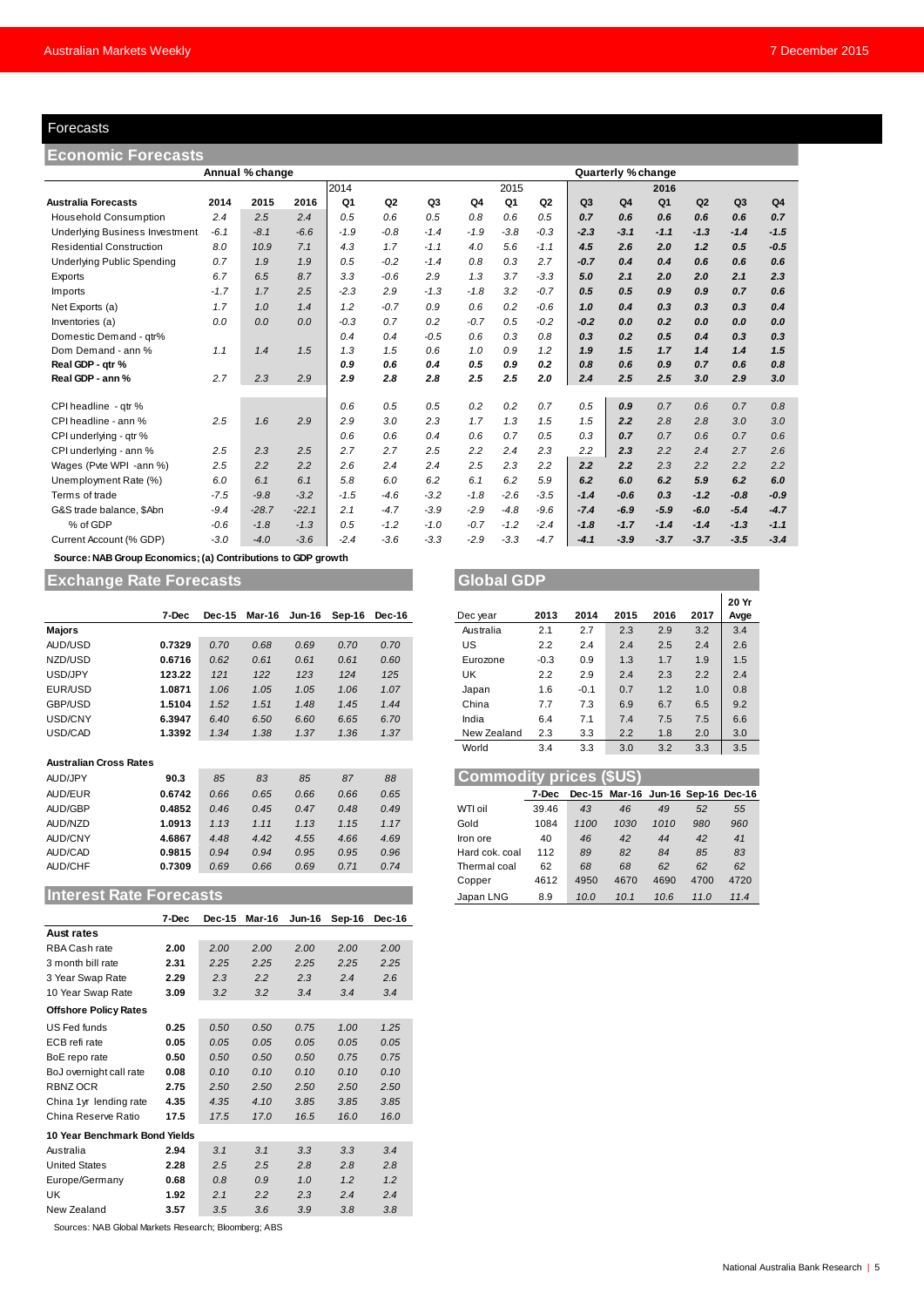## <span id="page-4-0"></span>Forecasts

| Forecasts                                                    |        |         |         |        |                |        |        |        |                |                |                    |                |        |                |                |
|--------------------------------------------------------------|--------|---------|---------|--------|----------------|--------|--------|--------|----------------|----------------|--------------------|----------------|--------|----------------|----------------|
| <b>Economic Forecasts</b>                                    |        |         |         |        |                |        |        |        |                |                |                    |                |        |                |                |
| Annual % change                                              |        |         |         |        |                |        |        |        |                |                | Quarterly % change |                |        |                |                |
|                                                              |        |         |         | 2014   |                |        |        | 2015   |                |                |                    | 2016           |        |                |                |
| <b>Australia Forecasts</b>                                   | 2014   | 2015    | 2016    | Q1     | Q <sub>2</sub> | Q3     | Q4     | Q1     | Q <sub>2</sub> | Q <sub>3</sub> | Q <sub>4</sub>     | Q <sub>1</sub> | Q2     | Q <sub>3</sub> | Q <sub>4</sub> |
| <b>Household Consumption</b>                                 | 2.4    | 2.5     | 2.4     | 0.5    | 0.6            | 0.5    | 0.8    | 0.6    | 0.5            | 0.7            | 0.6                | 0.6            | 0.6    | 0.6            | 0.7            |
| <b>Underlying Business Investment</b>                        | $-6.1$ | $-8.1$  | $-6.6$  | $-1.9$ | $-0.8$         | $-1.4$ | $-1.9$ | $-3.8$ | $-0.3$         | $-2.3$         | $-3.1$             | $-1.1$         | $-1.3$ | $-1.4$         | $-1.5$         |
| <b>Residential Construction</b>                              | 8.0    | 10.9    | 7.1     | 4.3    | 1.7            | $-1.1$ | 4.0    | 5.6    | $-1.1$         | 4.5            | 2.6                | 2.0            | 1.2    | 0.5            | $-0.5$         |
| <b>Underlying Public Spending</b>                            | 0.7    | 1.9     | 1.9     | 0.5    | $-0.2$         | $-1.4$ | 0.8    | 0.3    | 2.7            | $-0.7$         | 0.4                | 0.4            | 0.6    | 0.6            | 0.6            |
| Exports                                                      | 6.7    | 6.5     | 8.7     | 3.3    | $-0.6$         | 2.9    | 1.3    | 3.7    | $-3.3$         | 5.0            | 2.1                | 2.0            | 2.0    | 2.1            | 2.3            |
| Imports                                                      | $-1.7$ | 1.7     | 2.5     | $-2.3$ | 2.9            | $-1.3$ | $-1.8$ | 3.2    | $-0.7$         | 0.5            | 0.5                | 0.9            | 0.9    | 0.7            | 0.6            |
| Net Exports (a)                                              | 1.7    | 1.0     | 1.4     | 1.2    | $-0.7$         | 0.9    | 0.6    | 0.2    | $-0.6$         | 1.0            | 0.4                | 0.3            | 0.3    | 0.3            | 0.4            |
| Inventories (a)                                              | 0.0    | 0.0     | 0.0     | $-0.3$ | 0.7            | 0.2    | $-0.7$ | 0.5    | $-0.2$         | $-0.2$         | 0.0                | 0.2            | 0.0    | 0.0            | 0.0            |
| Domestic Demand - qtr%                                       |        |         |         | 0.4    | 0.4            | $-0.5$ | 0.6    | 0.3    | 0.8            | 0.3            | 0.2                | 0.5            | 0.4    | 0.3            | 0.3            |
| Dom Demand - ann %                                           | 1.1    | 1.4     | 1.5     | 1.3    | 1.5            | 0.6    | 1.0    | 0.9    | 1.2            | 1.9            | 1.5                | 1.7            | 1.4    | 1.4            | 1.5            |
| Real GDP - qtr %                                             |        |         |         | 0.9    | 0.6            | 0.4    | 0.5    | 0.9    | 0.2            | 0.8            | 0.6                | 0.9            | 0.7    | 0.6            | 0.8            |
| Real GDP - ann %                                             | 2.7    | 2.3     | 2.9     | 2.9    | 2.8            | 2.8    | 2.5    | 2.5    | 2.0            | 2.4            | 2.5                | 2.5            | 3.0    | 2.9            | 3.0            |
|                                                              |        |         |         |        |                |        |        |        |                |                |                    |                |        |                |                |
| CPI headline - qtr %                                         |        |         |         | 0.6    | 0.5            | 0.5    | 0.2    | 0.2    | 0.7            | 0.5            | 0.9                | 0.7            | 0.6    | 0.7            | 0.8            |
| CPI headline - ann %                                         | 2.5    | 1.6     | 2.9     | 2.9    | 3.0            | 2.3    | 1.7    | 1.3    | 1.5            | 1.5            | 2.2                | 2.8            | 2.8    | 3.0            | 3.0            |
| CPI underlying - gtr %                                       |        |         |         | 0.6    | 0.6            | 0.4    | 0.6    | 0.7    | 0.5            | 0.3            | 0.7                | 0.7            | 0.6    | 0.7            | 0.6            |
| CPI underlying - ann %                                       | 2.5    | 2.3     | 2.5     | 2.7    | 2.7            | 2.5    | 2.2    | 2.4    | 2.3            | 2.2            | 2.3                | 2.2            | 2.4    | 2.7            | 2.6            |
| Wages (Pvte WPI -ann %)                                      | 2.5    | 2.2     | 2.2     | 2.6    | 2.4            | 2.4    | 2.5    | 2.3    | 2.2            | 2.2            | 2.2                | 2.3            | 2.2    | 2.2            | 2.2            |
| Unemployment Rate (%)                                        | 6.0    | 6.1     | 6.1     | 5.8    | 6.0            | 6.2    | 6.1    | 6.2    | 5.9            | 6.2            | 6.0                | 6.2            | 5.9    | 6.2            | 6.0            |
| Terms of trade                                               | $-7.5$ | $-9.8$  | $-3.2$  | $-1.5$ | $-4.6$         | $-3.2$ | $-1.8$ | $-2.6$ | $-3.5$         | $-1.4$         | $-0.6$             | 0.3            | $-1.2$ | $-0.8$         | $-0.9$         |
| G&S trade balance, \$Abn                                     | $-9.4$ | $-28.7$ | $-22.1$ | 2.1    | $-4.7$         | $-3.9$ | $-2.9$ | $-4.8$ | $-9.6$         | $-7.4$         | $-6.9$             | $-5.9$         | $-6.0$ | $-5.4$         | $-4.7$         |
| % of GDP                                                     | $-0.6$ | $-1.8$  | $-1.3$  | 0.5    | $-1.2$         | $-1.0$ | $-0.7$ | $-1.2$ | $-2.4$         | $-1.8$         | $-1.7$             | $-1.4$         | $-1.4$ | $-1.3$         | $-1.1$         |
| Current Account (% GDP)                                      | $-3.0$ | $-4.0$  | $-3.6$  | $-2.4$ | $-3.6$         | $-3.3$ | $-2.9$ | $-3.3$ | $-4.7$         | $-4.1$         | $-3.9$             | $-3.7$         | $-3.7$ | $-3.5$         | $-3.4$         |
| Source: NAB Group Economics: (a) Contributions to GDB growth |        |         |         |        |                |        |        |        |                |                |                    |                |        |                |                |

## **Source: NAB Group Economics; (a) Contributions to GDP growth**

# **Exchange Rate Forecasts Global GDP**

|                               | 7-Dec  | Dec-15 | Mar-16 | Jun-16 | Sep-16 | Dec-16 | Dec year                       | 2013   | 2014   | 2015                              | 2016 | 2017 | Avg |
|-------------------------------|--------|--------|--------|--------|--------|--------|--------------------------------|--------|--------|-----------------------------------|------|------|-----|
| <b>Majors</b>                 |        |        |        |        |        |        | Australia                      | 2.1    | 2.7    | 2.3                               | 2.9  | 3.2  | 3.4 |
| AUD/USD                       | 0.7329 | 0.70   | 0.68   | 0.69   | 0.70   | 0.70   | US                             | 2.2    | 2.4    | 2.4                               | 2.5  | 2.4  | 2.6 |
| NZD/USD                       | 0.6716 | 0.62   | 0.61   | 0.61   | 0.61   | 0.60   | Eurozone                       | $-0.3$ | 0.9    | 1.3                               | 1.7  | 1.9  | 1.5 |
| USD/JPY                       | 123.22 | 121    | 122    | 123    | 124    | 125    | UK                             | 2.2    | 2.9    | 2.4                               | 2.3  | 2.2  | 2.4 |
| EUR/USD                       | 1.0871 | 1.06   | 1.05   | 1.05   | 1.06   | 1.07   | Japan                          | 1.6    | $-0.1$ | 0.7                               | 1.2  | 1.0  | 0.8 |
| GBP/USD                       | 1.5104 | 1.52   | 1.51   | 1.48   | 1.45   | 1.44   | China                          | 7.7    | 7.3    | 6.9                               | 6.7  | 6.5  | 9.2 |
| USD/CNY                       | 6.3947 | 6.40   | 6.50   | 6.60   | 6.65   | 6.70   | India                          | 6.4    | 7.1    | 7.4                               | 7.5  | 7.5  | 6.6 |
| USD/CAD                       | 1.3392 | 1.34   | 1.38   | 1.37   | 1.36   | 1.37   | New Zealand                    | 2.3    | 3.3    | 2.2                               | 1.8  | 2.0  | 3.0 |
|                               |        |        |        |        |        |        | World                          | 3.4    | 3.3    | 3.0                               | 3.2  | 3.3  | 3.5 |
| <b>Australian Cross Rates</b> |        |        |        |        |        |        |                                |        |        |                                   |      |      |     |
| AUD/JPY                       | 90.3   | 85     | 83     | 85     | 87     | 88     | <b>Commodity prices (\$US)</b> |        |        |                                   |      |      |     |
| AUD/EUR                       | 0.6742 | 0.66   | 0.65   | 0.66   | 0.66   | 0.65   |                                | 7-Dec  |        | Dec-15 Mar-16 Jun-16 Sep-16 Dec-1 |      |      |     |

#### **Australian Cross Rates**

| -----                         |        | .    | $\overline{\phantom{a}}$ | $\cdots$ | $\overline{\phantom{a}}$ | $\cdots$ |                                | <u>.</u> | ັັ   | ---                                | $\cdot$ | <u>.</u> | $\sim$ |
|-------------------------------|--------|------|--------------------------|----------|--------------------------|----------|--------------------------------|----------|------|------------------------------------|---------|----------|--------|
|                               |        |      |                          |          |                          |          | World                          | 3.4      | 3.3  | 3.0                                | 3.2     | 3.3      | 3.5    |
| <b>Australian Cross Rates</b> |        |      |                          |          |                          |          |                                |          |      |                                    |         |          |        |
| AUD/JPY                       | 90.3   | 85   | 83                       | 85       | 87                       | 88       | <b>Commodity prices (\$US)</b> |          |      |                                    |         |          |        |
| AUD/EUR                       | 0.6742 | 0.66 | 0.65                     | 0.66     | 0.66                     | 0.65     |                                | 7-Dec    |      | Dec-15 Mar-16 Jun-16 Sep-16 Dec-16 |         |          |        |
| AUD/GBP                       | 0.4852 | 0.46 | 0.45                     | 0.47     | 0.48                     | 0.49     | WTI oil                        | 39.46    | 43   | 46                                 | 49      | 52       | 55     |
| AUD/NZD                       | 1.0913 | 1.13 | 1.11                     | 1.13     | 1.15                     | 1.17     | Gold                           | 1084     | 1100 | 1030                               | 1010    | 980      | 960    |
| AUD/CNY                       | 4.6867 | 4.48 | 4.42                     | 4.55     | 4.66                     | 4.69     | Iron ore                       | 40       | 46   | 42                                 | 44      | 42       | 41     |
| AUD/CAD                       | 0.9815 | 0.94 | 0.94                     | 0.95     | 0.95                     | 0.96     | Hard cok. coal                 | 112      | 89   | 82                                 | 84      | 85       | 83     |
| AUD/CHF                       | 0.7309 | 0.69 | 0.66                     | 0.69     | 0.71                     | 0.74     | Thermal coal                   | 62       | 68   | 68                                 | 62      | 62       | 62     |
|                               |        |      |                          |          |                          |          | Copper                         | 4612     | 4950 | 4670                               | 4690    | 4700     | 4720   |

# **Interest Rate Forecasts**

|                               | 7-Dec | Dec-15 | Mar-16 | Jun-16 | Sep-16 | Dec-16 |  |  |  |  |
|-------------------------------|-------|--------|--------|--------|--------|--------|--|--|--|--|
| <b>Aust rates</b>             |       |        |        |        |        |        |  |  |  |  |
| RBA Cash rate                 | 2.00  | 2.00   | 2.00   | 2.00   | 2.00   | 2.00   |  |  |  |  |
| 3 month bill rate             | 2.31  | 2.25   | 2.25   | 2.25   | 2.25   | 2.25   |  |  |  |  |
| 3 Year Swap Rate              | 2.29  | 2.3    | 2.2    | 2.3    | 2.4    | 2.6    |  |  |  |  |
| 10 Year Swap Rate             | 3.09  | 3.2    | 3.2    | 3.4    | 3.4    | 3.4    |  |  |  |  |
| <b>Offshore Policy Rates</b>  |       |        |        |        |        |        |  |  |  |  |
| US Fed funds                  | 0.25  | 0.50   | 0.50   | 0.75   | 1.00   | 1.25   |  |  |  |  |
| ECB refi rate                 | 0.05  | 0.05   | 0.05   | 0.05   | 0.05   | 0.05   |  |  |  |  |
| BoE repo rate                 | 0.50  | 0.50   | 0.50   | 0.50   | 0.75   | 0.75   |  |  |  |  |
| BoJ overnight call rate       | 0.08  | 0.10   | 0.10   | 0.10   | 0.10   | 0.10   |  |  |  |  |
| RBNZ OCR                      | 2.75  | 2.50   | 2.50   | 2.50   | 2.50   | 2.50   |  |  |  |  |
| China 1yr lending rate        | 4.35  | 4.35   | 4.10   | 3.85   | 3.85   | 3.85   |  |  |  |  |
| China Reserve Ratio           | 17.5  | 17.5   | 17.0   | 16.5   | 16.0   | 16.0   |  |  |  |  |
| 10 Year Benchmark Bond Yields |       |        |        |        |        |        |  |  |  |  |
| Australia                     | 2.94  | 3.1    | 3.1    | 3.3    | 3.3    | 3.4    |  |  |  |  |
| <b>United States</b>          | 2.28  | 2.5    | 2.5    | 2.8    | 2.8    | 2.8    |  |  |  |  |
| Europe/Germany                | 0.68  | 0.8    | 0.9    | 1.0    | 1.2    | 1.2    |  |  |  |  |
| UK                            | 1.92  | 2.1    | 2.2    | 2.3    | 2.4    | 2.4    |  |  |  |  |
| New Zealand                   | 3.57  | 3.5    | 3.6    | 3.9    | 3.8    | 3.8    |  |  |  |  |

Sources: NAB Global Markets Research; Bloomberg; ABS

|        |               |      |               |        |        |             |        |        |      |      |      | 20 Yr |
|--------|---------------|------|---------------|--------|--------|-------------|--------|--------|------|------|------|-------|
| 7-Dec  | <b>Dec-15</b> |      | Mar-16 Jun-16 | Sep-16 | Dec-16 | Dec year    | 2013   | 2014   | 2015 | 2016 | 2017 | Avge  |
|        |               |      |               |        |        | Australia   | 2.1    | 2.7    | 2.3  | 2.9  | 3.2  | 3.4   |
| 1.7329 | 0.70          | 0.68 | 0.69          | 0.70   | 0.70   | US          | 2.2    | 2.4    | 2.4  | 2.5  | 2.4  | 2.6   |
| 0.6716 | 0.62          | 0.61 | 0.61          | 0.61   | 0.60   | Eurozone    | $-0.3$ | 0.9    | 1.3  | 1.7  | 1.9  | 1.5   |
| 123.22 | 121           | 122  | 123           | 124    | 125    | UK          | 2.2    | 2.9    | 2.4  | 2.3  | 2.2  | 2.4   |
| .0871  | 1.06          | 1.05 | 1.05          | 1.06   | 1.07   | Japan       | 1.6    | $-0.1$ | 0.7  | 1.2  | 1.0  | 0.8   |
| .5104  | 1.52          | 1.51 | 1.48          | 1.45   | 1.44   | China       | 7.7    | 7.3    | 6.9  | 6.7  | 6.5  | 9.2   |
| 5.3947 | 6.40          | 6.50 | 6.60          | 6.65   | 6.70   | India       | 6.4    | 7.1    | 7.4  | 7.5  | 7.5  | 6.6   |
| .3392  | 1.34          | 1.38 | 1.37          | 1.36   | 1.37   | New Zealand | 2.3    | 3.3    | 2.2  | 1.8  | 2.0  | 3.0   |
|        |               |      |               |        |        | World       | 3.4    | 3.3    | 3.0  | 3.2  | 3.3  | 3.5   |

| <b>Commodity prices (\$US)</b> |       |      |                                    |      |      |      |  |  |  |  |  |  |  |
|--------------------------------|-------|------|------------------------------------|------|------|------|--|--|--|--|--|--|--|
|                                | 7-Dec |      | Dec-15 Mar-16 Jun-16 Sep-16 Dec-16 |      |      |      |  |  |  |  |  |  |  |
| WTI oil                        | 39.46 | 43   | 46                                 | 49   | 52   | 55   |  |  |  |  |  |  |  |
| Gold                           | 1084  | 1100 | 1030                               | 1010 | 980  | 960  |  |  |  |  |  |  |  |
| Iron ore                       | 40    | 46   | 42                                 | 44   | 42   | 41   |  |  |  |  |  |  |  |
| Hard cok. coal                 | 112   | 89   | 82                                 | 84   | 85   | 83   |  |  |  |  |  |  |  |
| Thermal coal                   | 62    | 68   | 68                                 | 62   | 62   | 62   |  |  |  |  |  |  |  |
| Copper                         | 4612  | 4950 | 4670                               | 4690 | 4700 | 4720 |  |  |  |  |  |  |  |
| Japan LNG                      | 8.9   | 10.0 | 10.1                               | 10.6 | 11.0 | 11.4 |  |  |  |  |  |  |  |